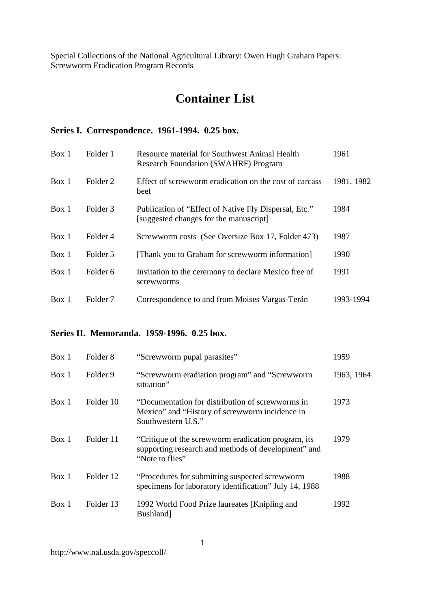# **Container List**

#### **Series I. Correspondence. 1961-1994. 0.25 box.**

| Box 1 | Folder 1            | <b>Resource material for Southwest Animal Health</b><br><b>Research Foundation (SWAHRF) Program</b> | 1961       |
|-------|---------------------|-----------------------------------------------------------------------------------------------------|------------|
| Box 1 | Folder 2            | Effect of screwworm eradication on the cost of carcass<br>beef                                      | 1981, 1982 |
| Box 1 | Folder <sub>3</sub> | Publication of "Effect of Native Fly Dispersal, Etc."<br>[suggested changes for the manuscript]     | 1984       |
| Box 1 | Folder 4            | Screwworm costs (See Oversize Box 17, Folder 473)                                                   | 1987       |
| Box 1 | Folder 5            | [Thank you to Graham for screwworm information]                                                     | 1990       |
| Box 1 | Folder <sub>6</sub> | Invitation to the ceremony to declare Mexico free of<br>screwworms                                  | 1991       |
| Box 1 | Folder 7            | Correspondence to and from Moises Vargas-Terán                                                      | 1993-1994  |

## **Series II. Memoranda. 1959-1996. 0.25 box.**

| Box 1 | Folder 8  | "Screwworm pupal parasites"                                                                                                   | 1959       |
|-------|-----------|-------------------------------------------------------------------------------------------------------------------------------|------------|
| Box 1 | Folder 9  | "Screwworm eradiation program" and "Screwworm<br>situation"                                                                   | 1963, 1964 |
| Box 1 | Folder 10 | "Documentation for distribution of screwworms in<br>Mexico" and "History of screwworm incidence in<br>Southwestern U.S."      | 1973       |
| Box 1 | Folder 11 | "Critique of the screwworm eradication program, its<br>supporting research and methods of development" and<br>"Note to flies" | 1979       |
| Box 1 | Folder 12 | "Procedures for submitting suspected screwworm"<br>specimens for laboratory identification" July 14, 1988                     | 1988       |
| Box 1 | Folder 13 | 1992 World Food Prize laureates [Knipling and<br>Bushland]                                                                    | 1992       |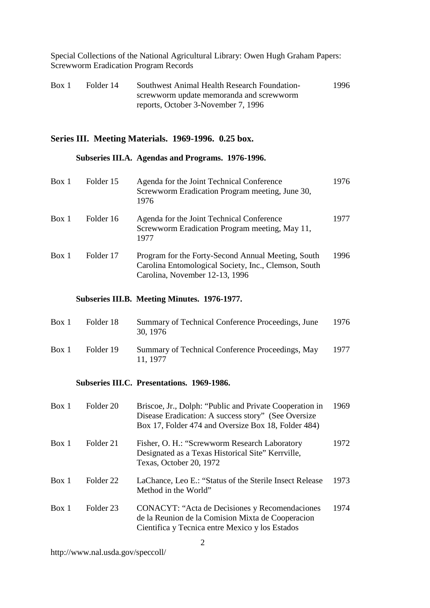| Box 1 | Folder 14 | Southwest Animal Health Research Foundation- | 1996 |
|-------|-----------|----------------------------------------------|------|
|       |           | screwworm update memoranda and screwworm     |      |
|       |           | reports, October 3-November 7, 1996          |      |

#### **Series III. Meeting Materials. 1969-1996. 0.25 box.**

#### **Subseries III.A. Agendas and Programs. 1976-1996.**

| Box 1 | Folder 15            | Agenda for the Joint Technical Conference<br>Screwworm Eradication Program meeting, June 30,<br>1976                                                                  | 1976 |
|-------|----------------------|-----------------------------------------------------------------------------------------------------------------------------------------------------------------------|------|
| Box 1 | Folder 16            | Agenda for the Joint Technical Conference<br>Screwworm Eradication Program meeting, May 11,<br>1977                                                                   | 1977 |
| Box 1 | Folder 17            | Program for the Forty-Second Annual Meeting, South<br>Carolina Entomological Society, Inc., Clemson, South<br>Carolina, November 12-13, 1996                          | 1996 |
|       |                      | Subseries III.B. Meeting Minutes. 1976-1977.                                                                                                                          |      |
| Box 1 | Folder 18            | Summary of Technical Conference Proceedings, June<br>30, 1976                                                                                                         | 1976 |
| Box 1 | Folder 19            | Summary of Technical Conference Proceedings, May<br>11, 1977                                                                                                          | 1977 |
|       |                      | Subseries III.C. Presentations. 1969-1986.                                                                                                                            |      |
| Box 1 | Folder <sub>20</sub> | Briscoe, Jr., Dolph: "Public and Private Cooperation in<br>Disease Eradication: A success story" (See Oversize<br>Box 17, Folder 474 and Oversize Box 18, Folder 484) | 1969 |
| Box 1 | Folder 21            | Fisher, O. H.: "Screwworm Research Laboratory<br>Designated as a Texas Historical Site" Kerrville,<br>Texas, October 20, 1972                                         | 1972 |
| Box 1 | Folder <sub>22</sub> | LaChance, Leo E.: "Status of the Sterile Insect Release<br>Method in the World"                                                                                       | 1973 |
| Box 1 | Folder <sub>23</sub> | <b>CONACYT: "Acta de Decisiones y Recomendaciones</b><br>de la Reunion de la Comision Mixta de Cooperacion                                                            | 1974 |

Cientifica y Tecnica entre Mexico y los Estados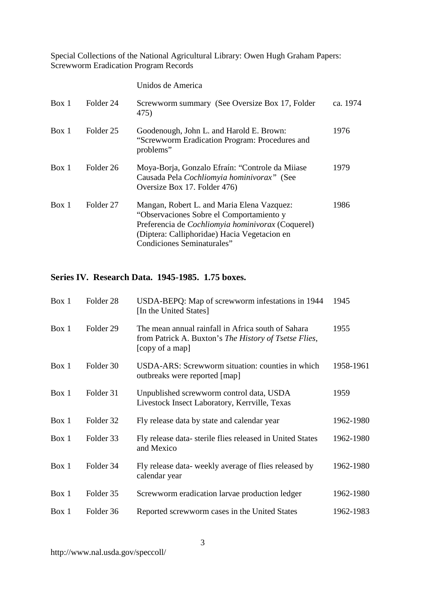|       |           | Unidos de America                                                                                                                                                                                                         |          |
|-------|-----------|---------------------------------------------------------------------------------------------------------------------------------------------------------------------------------------------------------------------------|----------|
| Box 1 | Folder 24 | Screwworm summary (See Oversize Box 17, Folder<br>475)                                                                                                                                                                    | ca. 1974 |
| Box 1 | Folder 25 | Goodenough, John L. and Harold E. Brown:<br>"Screwworm Eradication Program: Procedures and<br>problems"                                                                                                                   | 1976     |
| Box 1 | Folder 26 | Moya-Borja, Gonzalo Efraín: "Controle da Miiase<br>Causada Pela Cochliomyia hominivorax" (See<br>Oversize Box 17. Folder 476)                                                                                             | 1979     |
| Box 1 | Folder 27 | Mangan, Robert L. and Maria Elena Vazquez:<br>"Observaciones Sobre el Comportamiento y<br>Preferencia de Cochliomyia hominivorax (Coquerel)<br>(Diptera: Calliphoridae) Hacia Vegetacion en<br>Condiciones Seminaturales" | 1986     |

#### **Series IV. Research Data. 1945-1985. 1.75 boxes.**

| Box 1 | Folder <sub>28</sub> | USDA-BEPQ: Map of screwworm infestations in 1944<br>[In the United States]                                                     | 1945      |
|-------|----------------------|--------------------------------------------------------------------------------------------------------------------------------|-----------|
| Box 1 | Folder 29            | The mean annual rainfall in Africa south of Sahara<br>from Patrick A. Buxton's The History of Tsetse Flies,<br>[copy of a map] | 1955      |
| Box 1 | Folder 30            | USDA-ARS: Screwworm situation: counties in which<br>outbreaks were reported [map]                                              | 1958-1961 |
| Box 1 | Folder 31            | Unpublished screwworm control data, USDA<br>Livestock Insect Laboratory, Kerrville, Texas                                      | 1959      |
| Box 1 | Folder 32            | Fly release data by state and calendar year                                                                                    | 1962-1980 |
| Box 1 | Folder 33            | Fly release data-sterile flies released in United States<br>and Mexico                                                         | 1962-1980 |
| Box 1 | Folder 34            | Fly release data- weekly average of flies released by<br>calendar year                                                         | 1962-1980 |
| Box 1 | Folder 35            | Screwworm eradication larvae production ledger                                                                                 | 1962-1980 |
| Box 1 | Folder 36            | Reported screwworm cases in the United States                                                                                  | 1962-1983 |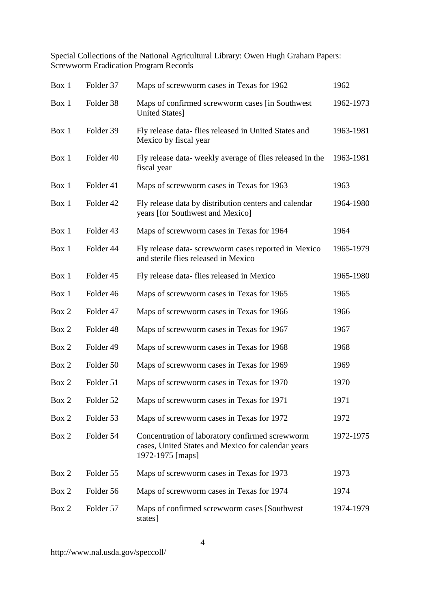| Box 1 | Folder 37 | Maps of screwworm cases in Texas for 1962                                                                                 | 1962      |
|-------|-----------|---------------------------------------------------------------------------------------------------------------------------|-----------|
| Box 1 | Folder 38 | Maps of confirmed screwworm cases [in Southwest<br>United States]                                                         | 1962-1973 |
| Box 1 | Folder 39 | Fly release data- flies released in United States and<br>Mexico by fiscal year                                            | 1963-1981 |
| Box 1 | Folder 40 | Fly release data-weekly average of flies released in the<br>fiscal year                                                   | 1963-1981 |
| Box 1 | Folder 41 | Maps of screwworm cases in Texas for 1963                                                                                 | 1963      |
| Box 1 | Folder 42 | Fly release data by distribution centers and calendar<br>years [for Southwest and Mexico]                                 | 1964-1980 |
| Box 1 | Folder 43 | Maps of screwworm cases in Texas for 1964                                                                                 | 1964      |
| Box 1 | Folder 44 | Fly release data-screwworm cases reported in Mexico<br>and sterile flies released in Mexico                               | 1965-1979 |
| Box 1 | Folder 45 | Fly release data-flies released in Mexico                                                                                 | 1965-1980 |
| Box 1 | Folder 46 | Maps of screwworm cases in Texas for 1965                                                                                 | 1965      |
| Box 2 | Folder 47 | Maps of screwworm cases in Texas for 1966                                                                                 | 1966      |
| Box 2 | Folder 48 | Maps of screwworm cases in Texas for 1967                                                                                 | 1967      |
| Box 2 | Folder 49 | Maps of screwworm cases in Texas for 1968                                                                                 | 1968      |
| Box 2 | Folder 50 | Maps of screwworm cases in Texas for 1969                                                                                 | 1969      |
| Box 2 | Folder 51 | Maps of screwworm cases in Texas for 1970                                                                                 | 1970      |
| Box 2 | Folder 52 | Maps of screwworm cases in Texas for 1971                                                                                 | 1971      |
| Box 2 | Folder 53 | Maps of screwworm cases in Texas for 1972                                                                                 | 1972      |
| Box 2 | Folder 54 | Concentration of laboratory confirmed screwworm<br>cases, United States and Mexico for calendar years<br>1972-1975 [maps] | 1972-1975 |
| Box 2 | Folder 55 | Maps of screwworm cases in Texas for 1973                                                                                 | 1973      |
| Box 2 | Folder 56 | Maps of screwworm cases in Texas for 1974                                                                                 | 1974      |
| Box 2 | Folder 57 | Maps of confirmed screwworm cases [Southwest]<br>states]                                                                  | 1974-1979 |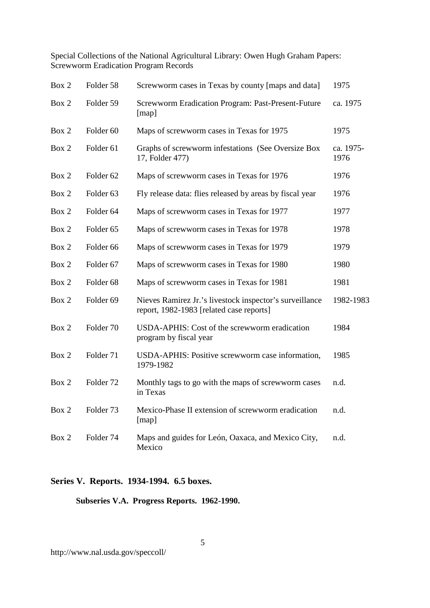| Box 2 | Folder 58            | Screwworm cases in Texas by county [maps and data]                                                  | 1975              |
|-------|----------------------|-----------------------------------------------------------------------------------------------------|-------------------|
| Box 2 | Folder 59            | Screwworm Eradication Program: Past-Present-Future<br>[map]                                         | ca. 1975          |
| Box 2 | Folder <sub>60</sub> | Maps of screwworm cases in Texas for 1975                                                           | 1975              |
| Box 2 | Folder <sub>61</sub> | Graphs of screwworm infestations (See Oversize Box<br>17, Folder 477)                               | ca. 1975-<br>1976 |
| Box 2 | Folder <sub>62</sub> | Maps of screwworm cases in Texas for 1976                                                           | 1976              |
| Box 2 | Folder <sub>63</sub> | Fly release data: flies released by areas by fiscal year                                            | 1976              |
| Box 2 | Folder <sub>64</sub> | Maps of screwworm cases in Texas for 1977                                                           | 1977              |
| Box 2 | Folder <sub>65</sub> | Maps of screwworm cases in Texas for 1978                                                           | 1978              |
| Box 2 | Folder <sub>66</sub> | Maps of screwworm cases in Texas for 1979                                                           | 1979              |
| Box 2 | Folder <sub>67</sub> | Maps of screwworm cases in Texas for 1980                                                           | 1980              |
| Box 2 | Folder <sub>68</sub> | Maps of screwworm cases in Texas for 1981                                                           | 1981              |
| Box 2 | Folder <sub>69</sub> | Nieves Ramirez Jr.'s livestock inspector's surveillance<br>report, 1982-1983 [related case reports] | 1982-1983         |
| Box 2 | Folder 70            | USDA-APHIS: Cost of the screwworm eradication<br>program by fiscal year                             | 1984              |
| Box 2 | Folder 71            | USDA-APHIS: Positive screwworm case information,<br>1979-1982                                       | 1985              |
| Box 2 | Folder <sub>72</sub> | Monthly tags to go with the maps of screwworm cases<br>in Texas                                     | n.d.              |
| Box 2 | Folder 73            | Mexico-Phase II extension of screwworm eradication<br>[map]                                         | n.d.              |
| Box 2 | Folder 74            | Maps and guides for León, Oaxaca, and Mexico City,<br>Mexico                                        | n.d.              |

## **Series V. Reports. 1934-1994. 6.5 boxes.**

**Subseries V.A. Progress Reports. 1962-1990.**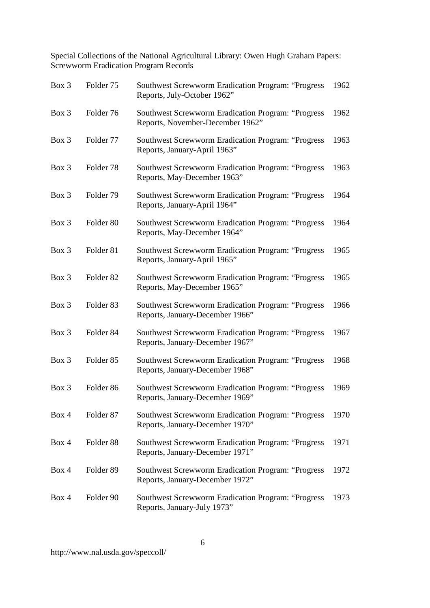| Box 3 | Folder <sub>75</sub> | <b>Southwest Screwworm Eradication Program: "Progress</b><br>Reports, July-October 1962"     | 1962 |
|-------|----------------------|----------------------------------------------------------------------------------------------|------|
| Box 3 | Folder 76            | Southwest Screwworm Eradication Program: "Progress<br>Reports, November-December 1962"       | 1962 |
| Box 3 | Folder 77            | Southwest Screwworm Eradication Program: "Progress<br>Reports, January-April 1963"           | 1963 |
| Box 3 | Folder <sub>78</sub> | <b>Southwest Screwworm Eradication Program: "Progress</b><br>Reports, May-December 1963"     | 1963 |
| Box 3 | Folder <sub>79</sub> | <b>Southwest Screwworm Eradication Program: "Progress</b><br>Reports, January-April 1964"    | 1964 |
| Box 3 | Folder <sub>80</sub> | <b>Southwest Screwworm Eradication Program: "Progress</b><br>Reports, May-December 1964"     | 1964 |
| Box 3 | Folder <sub>81</sub> | <b>Southwest Screwworm Eradication Program: "Progress</b><br>Reports, January-April 1965"    | 1965 |
| Box 3 | Folder <sub>82</sub> | <b>Southwest Screwworm Eradication Program: "Progress</b><br>Reports, May-December 1965"     | 1965 |
| Box 3 | Folder <sub>83</sub> | <b>Southwest Screwworm Eradication Program: "Progress</b><br>Reports, January-December 1966" | 1966 |
| Box 3 | Folder <sub>84</sub> | <b>Southwest Screwworm Eradication Program: "Progress</b><br>Reports, January-December 1967" | 1967 |
| Box 3 | Folder <sub>85</sub> | <b>Southwest Screwworm Eradication Program: "Progress</b><br>Reports, January-December 1968" | 1968 |
| Box 3 | Folder <sub>86</sub> | <b>Southwest Screwworm Eradication Program: "Progress</b><br>Reports, January-December 1969" | 1969 |
| Box 4 | Folder <sub>87</sub> | Southwest Screwworm Eradication Program: "Progress<br>Reports, January-December 1970"        | 1970 |
| Box 4 | Folder <sub>88</sub> | <b>Southwest Screwworm Eradication Program: "Progress</b><br>Reports, January-December 1971" | 1971 |
| Box 4 | Folder 89            | <b>Southwest Screwworm Eradication Program: "Progress</b><br>Reports, January-December 1972" | 1972 |
| Box 4 | Folder 90            | <b>Southwest Screwworm Eradication Program: "Progress</b><br>Reports, January-July 1973"     | 1973 |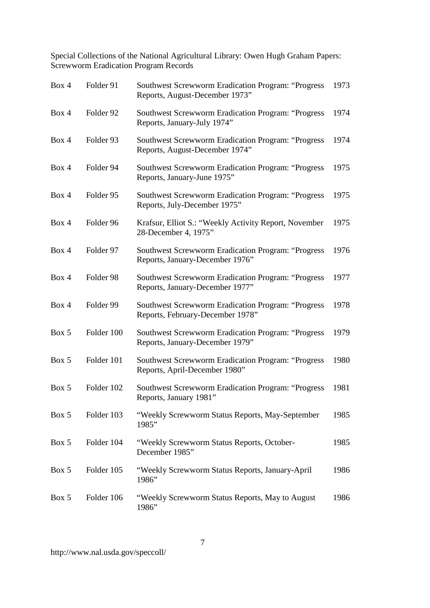| Box 4 | Folder 91  | <b>Southwest Screwworm Eradication Program: "Progress</b><br>Reports, August-December 1973"   | 1973 |
|-------|------------|-----------------------------------------------------------------------------------------------|------|
| Box 4 | Folder 92  | <b>Southwest Screwworm Eradication Program: "Progress</b><br>Reports, January-July 1974"      | 1974 |
| Box 4 | Folder 93  | Southwest Screwworm Eradication Program: "Progress<br>Reports, August-December 1974"          | 1974 |
| Box 4 | Folder 94  | <b>Southwest Screwworm Eradication Program: "Progress</b><br>Reports, January-June 1975"      | 1975 |
| Box 4 | Folder 95  | <b>Southwest Screwworm Eradication Program: "Progress</b><br>Reports, July-December 1975"     | 1975 |
| Box 4 | Folder 96  | Krafsur, Elliot S.: "Weekly Activity Report, November<br>28-December 4, 1975"                 | 1975 |
| Box 4 | Folder 97  | <b>Southwest Screwworm Eradication Program: "Progress</b><br>Reports, January-December 1976"  | 1976 |
| Box 4 | Folder 98  | <b>Southwest Screwworm Eradication Program: "Progress</b><br>Reports, January-December 1977"  | 1977 |
| Box 4 | Folder 99  | <b>Southwest Screwworm Eradication Program: "Progress</b><br>Reports, February-December 1978" | 1978 |
| Box 5 | Folder 100 | <b>Southwest Screwworm Eradication Program: "Progress</b><br>Reports, January-December 1979"  | 1979 |
| Box 5 | Folder 101 | <b>Southwest Screwworm Eradication Program: "Progress</b><br>Reports, April-December 1980"    | 1980 |
| Box 5 | Folder 102 | <b>Southwest Screwworm Eradication Program: "Progress</b><br>Reports, January 1981"           | 1981 |
| Box 5 | Folder 103 | "Weekly Screwworm Status Reports, May-September<br>1985"                                      | 1985 |
| Box 5 | Folder 104 | "Weekly Screwworm Status Reports, October-<br>December 1985"                                  | 1985 |
| Box 5 | Folder 105 | "Weekly Screwworm Status Reports, January-April<br>1986"                                      | 1986 |
| Box 5 | Folder 106 | "Weekly Screwworm Status Reports, May to August<br>1986"                                      | 1986 |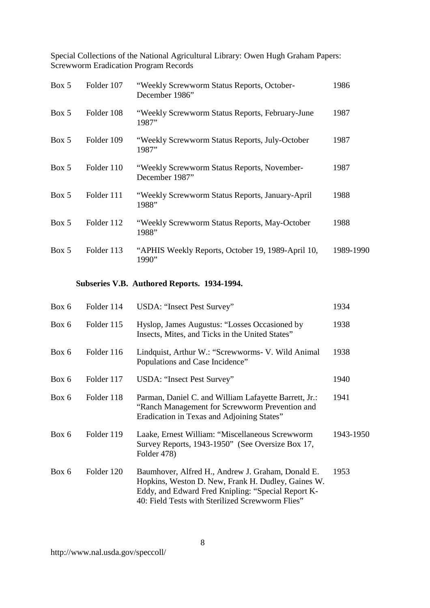| Box 5 | Folder 107 | "Weekly Screwworm Status Reports, October-<br>December 1986"  | 1986      |
|-------|------------|---------------------------------------------------------------|-----------|
| Box 5 | Folder 108 | "Weekly Screwworm Status Reports, February-June<br>1987"      | 1987      |
| Box 5 | Folder 109 | "Weekly Screwworm Status Reports, July-October<br>1987"       | 1987      |
| Box 5 | Folder 110 | "Weekly Screwworm Status Reports, November-<br>December 1987" | 1987      |
| Box 5 | Folder 111 | "Weekly Screwworm Status Reports, January-April<br>1988"      | 1988      |
| Box 5 | Folder 112 | "Weekly Screwworm Status Reports, May-October<br>1988"        | 1988      |
| Box 5 | Folder 113 | "APHIS Weekly Reports, October 19, 1989-April 10,<br>1990"    | 1989-1990 |

# **Subseries V.B. Authored Reports. 1934-1994.**

| Box 6 | Folder 114 | USDA: "Insect Pest Survey"                                                                                                                                                                                        | 1934      |
|-------|------------|-------------------------------------------------------------------------------------------------------------------------------------------------------------------------------------------------------------------|-----------|
| Box 6 | Folder 115 | Hyslop, James Augustus: "Losses Occasioned by<br>Insects, Mites, and Ticks in the United States"                                                                                                                  | 1938      |
| Box 6 | Folder 116 | Lindquist, Arthur W.: "Screwworms- V. Wild Animal<br>Populations and Case Incidence"                                                                                                                              | 1938      |
| Box 6 | Folder 117 | USDA: "Insect Pest Survey"                                                                                                                                                                                        | 1940      |
| Box 6 | Folder 118 | Parman, Daniel C. and William Lafayette Barrett, Jr.:<br>"Ranch Management for Screwworm Prevention and<br>Eradication in Texas and Adjoining States"                                                             | 1941      |
| Box 6 | Folder 119 | Laake, Ernest William: "Miscellaneous Screwworm<br>Survey Reports, 1943-1950" (See Oversize Box 17,<br>Folder 478)                                                                                                | 1943-1950 |
| Box 6 | Folder 120 | Baumhover, Alfred H., Andrew J. Graham, Donald E.<br>Hopkins, Weston D. New, Frank H. Dudley, Gaines W.<br>Eddy, and Edward Fred Knipling: "Special Report K-<br>40: Field Tests with Sterilized Screwworm Flies" | 1953      |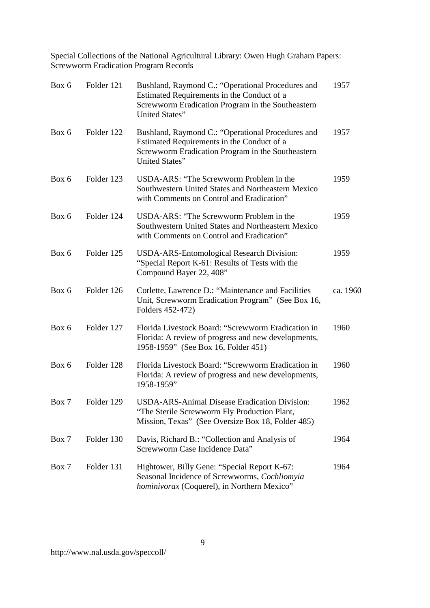| Box 6 | Folder 121 | Bushland, Raymond C.: "Operational Procedures and<br>Estimated Requirements in the Conduct of a<br>Screwworm Eradication Program in the Southeastern<br>United States" | 1957     |
|-------|------------|------------------------------------------------------------------------------------------------------------------------------------------------------------------------|----------|
| Box 6 | Folder 122 | Bushland, Raymond C.: "Operational Procedures and<br>Estimated Requirements in the Conduct of a<br>Screwworm Eradication Program in the Southeastern<br>United States" | 1957     |
| Box 6 | Folder 123 | USDA-ARS: "The Screwworm Problem in the<br>Southwestern United States and Northeastern Mexico<br>with Comments on Control and Eradication"                             | 1959     |
| Box 6 | Folder 124 | USDA-ARS: "The Screwworm Problem in the<br>Southwestern United States and Northeastern Mexico<br>with Comments on Control and Eradication"                             | 1959     |
| Box 6 | Folder 125 | <b>USDA-ARS-Entomological Research Division:</b><br>"Special Report K-61: Results of Tests with the<br>Compound Bayer 22, 408"                                         | 1959     |
| Box 6 | Folder 126 | Corlette, Lawrence D.: "Maintenance and Facilities<br>Unit, Screwworm Eradication Program" (See Box 16,<br>Folders 452-472)                                            | ca. 1960 |
| Box 6 | Folder 127 | Florida Livestock Board: "Screwworm Eradication in<br>Florida: A review of progress and new developments,<br>1958-1959" (See Box 16, Folder 451)                       | 1960     |
| Box 6 | Folder 128 | Florida Livestock Board: "Screwworm Eradication in<br>Florida: A review of progress and new developments,<br>1958-1959"                                                | 1960     |
| Box 7 | Folder 129 | <b>USDA-ARS-Animal Disease Eradication Division:</b><br>"The Sterile Screwworm Fly Production Plant,<br>Mission, Texas" (See Oversize Box 18, Folder 485)              | 1962     |
| Box 7 | Folder 130 | Davis, Richard B.: "Collection and Analysis of<br>Screwworm Case Incidence Data"                                                                                       | 1964     |
| Box 7 | Folder 131 | Hightower, Billy Gene: "Special Report K-67:<br>Seasonal Incidence of Screwworms, Cochliomyia<br>hominivorax (Coquerel), in Northern Mexico"                           | 1964     |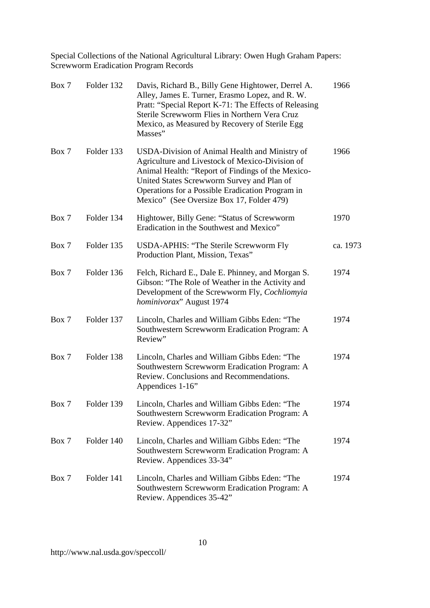| Box 7 | Folder 132 | Davis, Richard B., Billy Gene Hightower, Derrel A.<br>Alley, James E. Turner, Erasmo Lopez, and R. W.<br>Pratt: "Special Report K-71: The Effects of Releasing<br>Sterile Screwworm Flies in Northern Vera Cruz<br>Mexico, as Measured by Recovery of Sterile Egg<br>Masses"                          | 1966     |
|-------|------------|-------------------------------------------------------------------------------------------------------------------------------------------------------------------------------------------------------------------------------------------------------------------------------------------------------|----------|
| Box 7 | Folder 133 | USDA-Division of Animal Health and Ministry of<br>Agriculture and Livestock of Mexico-Division of<br>Animal Health: "Report of Findings of the Mexico-<br>United States Screwworm Survey and Plan of<br>Operations for a Possible Eradication Program in<br>Mexico" (See Oversize Box 17, Folder 479) | 1966     |
| Box 7 | Folder 134 | Hightower, Billy Gene: "Status of Screwworm<br>Eradication in the Southwest and Mexico"                                                                                                                                                                                                               | 1970     |
| Box 7 | Folder 135 | USDA-APHIS: "The Sterile Screwworm Fly<br>Production Plant, Mission, Texas"                                                                                                                                                                                                                           | ca. 1973 |
| Box 7 | Folder 136 | Felch, Richard E., Dale E. Phinney, and Morgan S.<br>Gibson: "The Role of Weather in the Activity and<br>Development of the Screwworm Fly, Cochliomyia<br>hominivorax" August 1974                                                                                                                    | 1974     |
| Box 7 | Folder 137 | Lincoln, Charles and William Gibbs Eden: "The<br>Southwestern Screwworm Eradication Program: A<br>Review"                                                                                                                                                                                             | 1974     |
| Box 7 | Folder 138 | Lincoln, Charles and William Gibbs Eden: "The<br>Southwestern Screwworm Eradication Program: A<br>Review. Conclusions and Recommendations.<br>Appendices 1-16"                                                                                                                                        | 1974     |
| Box 7 | Folder 139 | Lincoln, Charles and William Gibbs Eden: "The<br>Southwestern Screwworm Eradication Program: A<br>Review. Appendices 17-32"                                                                                                                                                                           | 1974     |
| Box 7 | Folder 140 | Lincoln, Charles and William Gibbs Eden: "The<br>Southwestern Screwworm Eradication Program: A<br>Review. Appendices 33-34"                                                                                                                                                                           | 1974     |
| Box 7 | Folder 141 | Lincoln, Charles and William Gibbs Eden: "The<br>Southwestern Screwworm Eradication Program: A<br>Review. Appendices 35-42"                                                                                                                                                                           | 1974     |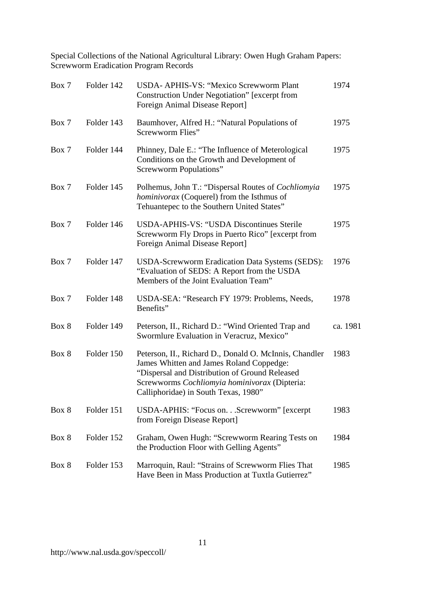| Box 7 | Folder 142 | USDA- APHIS-VS: "Mexico Screwworm Plant<br><b>Construction Under Negotiation</b> " [excerpt from<br>Foreign Animal Disease Report]                                                                                                            | 1974     |
|-------|------------|-----------------------------------------------------------------------------------------------------------------------------------------------------------------------------------------------------------------------------------------------|----------|
| Box 7 | Folder 143 | Baumhover, Alfred H.: "Natural Populations of<br>Screwworm Flies"                                                                                                                                                                             | 1975     |
| Box 7 | Folder 144 | Phinney, Dale E.: "The Influence of Meterological<br>Conditions on the Growth and Development of<br>Screwworm Populations"                                                                                                                    | 1975     |
| Box 7 | Folder 145 | Polhemus, John T.: "Dispersal Routes of <i>Cochliomyia</i><br>hominivorax (Coquerel) from the Isthmus of<br>Tehuantepec to the Southern United States"                                                                                        | 1975     |
| Box 7 | Folder 146 | USDA-APHIS-VS: "USDA Discontinues Sterile<br>Screwworm Fly Drops in Puerto Rico" [excerpt from<br>Foreign Animal Disease Report]                                                                                                              | 1975     |
| Box 7 | Folder 147 | USDA-Screwworm Eradication Data Systems (SEDS):<br>"Evaluation of SEDS: A Report from the USDA<br>Members of the Joint Evaluation Team"                                                                                                       | 1976     |
| Box 7 | Folder 148 | USDA-SEA: "Research FY 1979: Problems, Needs,<br>Benefits"                                                                                                                                                                                    | 1978     |
| Box 8 | Folder 149 | Peterson, II., Richard D.: "Wind Oriented Trap and<br>Swormlure Evaluation in Veracruz, Mexico"                                                                                                                                               | ca. 1981 |
| Box 8 | Folder 150 | Peterson, II., Richard D., Donald O. McInnis, Chandler<br>James Whitten and James Roland Coppedge:<br>"Dispersal and Distribution of Ground Released<br>Screwworms Cochliomyia hominivorax (Dipteria:<br>Calliphoridae) in South Texas, 1980" | 1983     |
| Box 8 | Folder 151 | USDA-APHIS: "Focus onScrewworm" [excerpt]<br>from Foreign Disease Report]                                                                                                                                                                     | 1983     |
| Box 8 | Folder 152 | Graham, Owen Hugh: "Screwworm Rearing Tests on<br>the Production Floor with Gelling Agents"                                                                                                                                                   | 1984     |
| Box 8 | Folder 153 | Marroquin, Raul: "Strains of Screwworm Flies That<br>Have Been in Mass Production at Tuxtla Gutierrez"                                                                                                                                        | 1985     |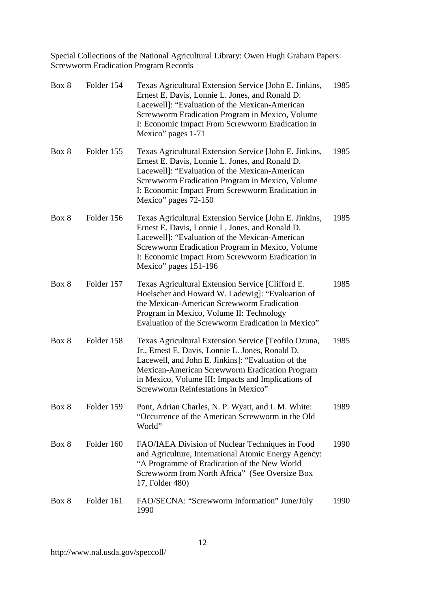| Box 8 | Folder 154 | Texas Agricultural Extension Service [John E. Jinkins,<br>Ernest E. Davis, Lonnie L. Jones, and Ronald D.<br>Lacewell]: "Evaluation of the Mexican-American<br>Screwworm Eradication Program in Mexico, Volume<br>I: Economic Impact From Screwworm Eradication in<br>Mexico" pages 1-71                      | 1985 |
|-------|------------|---------------------------------------------------------------------------------------------------------------------------------------------------------------------------------------------------------------------------------------------------------------------------------------------------------------|------|
| Box 8 | Folder 155 | Texas Agricultural Extension Service [John E. Jinkins,<br>Ernest E. Davis, Lonnie L. Jones, and Ronald D.<br>Lacewell]: "Evaluation of the Mexican-American<br>Screwworm Eradication Program in Mexico, Volume<br>I: Economic Impact From Screwworm Eradication in<br>Mexico" pages 72-150                    | 1985 |
| Box 8 | Folder 156 | Texas Agricultural Extension Service [John E. Jinkins,<br>Ernest E. Davis, Lonnie L. Jones, and Ronald D.<br>Lacewell]: "Evaluation of the Mexican-American<br>Screwworm Eradication Program in Mexico, Volume<br>I: Economic Impact From Screwworm Eradication in<br>Mexico" pages 151-196                   | 1985 |
| Box 8 | Folder 157 | Texas Agricultural Extension Service [Clifford E.<br>Hoelscher and Howard W. Ladewig]: "Evaluation of<br>the Mexican-American Screwworm Eradication<br>Program in Mexico, Volume II: Technology<br>Evaluation of the Screwworm Eradication in Mexico"                                                         | 1985 |
| Box 8 | Folder 158 | Texas Agricultural Extension Service [Teofilo Ozuna,<br>Jr., Ernest E. Davis, Lonnie L. Jones, Ronald D.<br>Lacewell, and John E. Jinkins]: "Evaluation of the<br>Mexican-American Screwworm Eradication Program<br>in Mexico, Volume III: Impacts and Implications of<br>Screwworm Reinfestations in Mexico" | 1985 |
| Box 8 | Folder 159 | Pont, Adrian Charles, N. P. Wyatt, and I. M. White:<br>"Occurrence of the American Screwworm in the Old<br>World"                                                                                                                                                                                             | 1989 |
| Box 8 | Folder 160 | FAO/IAEA Division of Nuclear Techniques in Food<br>and Agriculture, International Atomic Energy Agency:<br>"A Programme of Eradication of the New World<br>Screwworm from North Africa" (See Oversize Box<br>17, Folder 480)                                                                                  | 1990 |
| Box 8 | Folder 161 | FAO/SECNA: "Screwworm Information" June/July<br>1990                                                                                                                                                                                                                                                          | 1990 |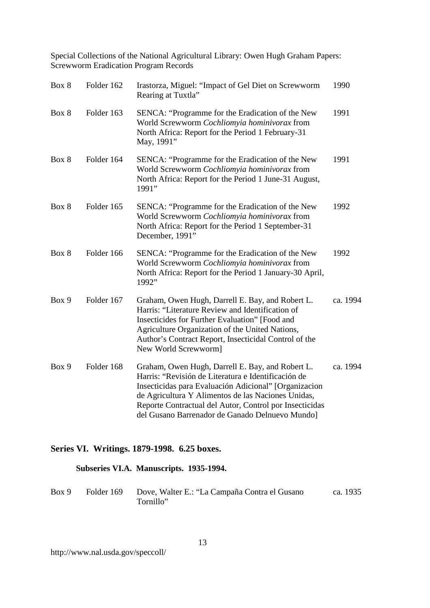| Box 8 | Folder 162 | Irastorza, Miguel: "Impact of Gel Diet on Screwworm<br>Rearing at Tuxtla"                                                                                                                                                                                                                                                            | 1990     |
|-------|------------|--------------------------------------------------------------------------------------------------------------------------------------------------------------------------------------------------------------------------------------------------------------------------------------------------------------------------------------|----------|
| Box 8 | Folder 163 | SENCA: "Programme for the Eradication of the New<br>World Screwworm Cochliomyia hominivorax from<br>North Africa: Report for the Period 1 February-31<br>May, 1991"                                                                                                                                                                  | 1991     |
| Box 8 | Folder 164 | SENCA: "Programme for the Eradication of the New<br>World Screwworm Cochliomyia hominivorax from<br>North Africa: Report for the Period 1 June-31 August,<br>1991"                                                                                                                                                                   | 1991     |
| Box 8 | Folder 165 | SENCA: "Programme for the Eradication of the New<br>World Screwworm Cochliomyia hominivorax from<br>North Africa: Report for the Period 1 September-31<br>December, 1991"                                                                                                                                                            | 1992     |
| Box 8 | Folder 166 | SENCA: "Programme for the Eradication of the New<br>World Screwworm Cochliomyia hominivorax from<br>North Africa: Report for the Period 1 January-30 April,<br>1992"                                                                                                                                                                 | 1992     |
| Box 9 | Folder 167 | Graham, Owen Hugh, Darrell E. Bay, and Robert L.<br>Harris: "Literature Review and Identification of<br>Insecticides for Further Evaluation" [Food and<br>Agriculture Organization of the United Nations,<br>Author's Contract Report, Insecticidal Control of the<br>New World Screwworm]                                           | ca. 1994 |
| Box 9 | Folder 168 | Graham, Owen Hugh, Darrell E. Bay, and Robert L.<br>Harris: "Revisión de Literatura e Identificación de<br>Insecticidas para Evaluación Adicional" [Organizacion<br>de Agricultura Y Alimentos de las Naciones Unidas,<br>Reporte Contractual del Autor, Control por Insecticidas<br>del Gusano Barrenador de Ganado Delnuevo Mundo] | ca. 1994 |

## **Series VI. Writings. 1879-1998. 6.25 boxes.**

## **Subseries VI.A. Manuscripts. 1935-1994.**

| Box 9 | Folder 169 Dove, Walter E.: "La Campaña Contra el Gusano | ca. 1935 |
|-------|----------------------------------------------------------|----------|
|       | Tornillo"                                                |          |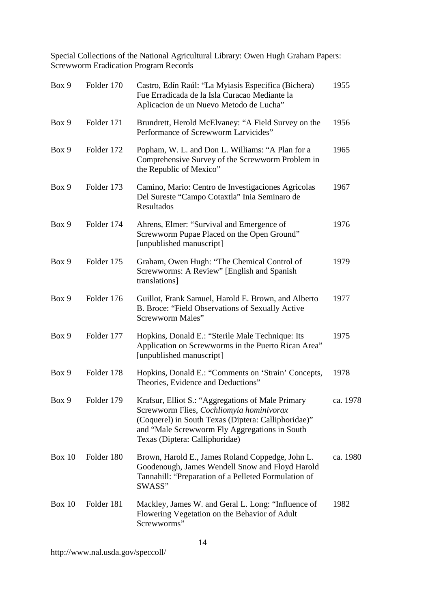| Box 9    | Folder 170 | Castro, Edín Raúl: "La Myiasis Especifica (Bichera)<br>Fue Erradicada de la Isla Curacao Mediante la<br>Aplicacion de un Nuevo Metodo de Lucha"                                                                                         | 1955     |
|----------|------------|-----------------------------------------------------------------------------------------------------------------------------------------------------------------------------------------------------------------------------------------|----------|
| Box 9    | Folder 171 | Brundrett, Herold McElvaney: "A Field Survey on the<br>Performance of Screwworm Larvicides"                                                                                                                                             | 1956     |
| Box 9    | Folder 172 | Popham, W. L. and Don L. Williams: "A Plan for a<br>Comprehensive Survey of the Screwworm Problem in<br>the Republic of Mexico"                                                                                                         | 1965     |
| Box 9    | Folder 173 | Camino, Mario: Centro de Investigaciones Agricolas<br>Del Sureste "Campo Cotaxtla" Inia Seminaro de<br>Resultados                                                                                                                       | 1967     |
| Box 9    | Folder 174 | Ahrens, Elmer: "Survival and Emergence of<br>Screwworm Pupae Placed on the Open Ground"<br>[unpublished manuscript]                                                                                                                     | 1976     |
| Box 9    | Folder 175 | Graham, Owen Hugh: "The Chemical Control of<br>Screwworms: A Review" [English and Spanish<br>translations]                                                                                                                              | 1979     |
| Box 9    | Folder 176 | Guillot, Frank Samuel, Harold E. Brown, and Alberto<br>B. Broce: "Field Observations of Sexually Active<br>Screwworm Males"                                                                                                             | 1977     |
| Box 9    | Folder 177 | Hopkins, Donald E.: "Sterile Male Technique: Its<br>Application on Screwworms in the Puerto Rican Area"<br>[unpublished manuscript]                                                                                                     | 1975     |
| Box 9    | Folder 178 | Hopkins, Donald E.: "Comments on 'Strain' Concepts,<br>Theories, Evidence and Deductions"                                                                                                                                               | 1978     |
| Box 9    | Folder 179 | Krafsur, Elliot S.: "Aggregations of Male Primary<br>Screwworm Flies, Cochliomyia hominivorax<br>(Coquerel) in South Texas (Diptera: Calliphoridae)"<br>and "Male Screwworm Fly Aggregations in South<br>Texas (Diptera: Calliphoridae) | ca. 1978 |
| Box $10$ | Folder 180 | Brown, Harold E., James Roland Coppedge, John L.<br>Goodenough, James Wendell Snow and Floyd Harold<br>Tannahill: "Preparation of a Pelleted Formulation of<br>SWASS"                                                                   | ca. 1980 |
| Box $10$ | Folder 181 | Mackley, James W. and Geral L. Long: "Influence of<br>Flowering Vegetation on the Behavior of Adult<br>Screwworms"                                                                                                                      | 1982     |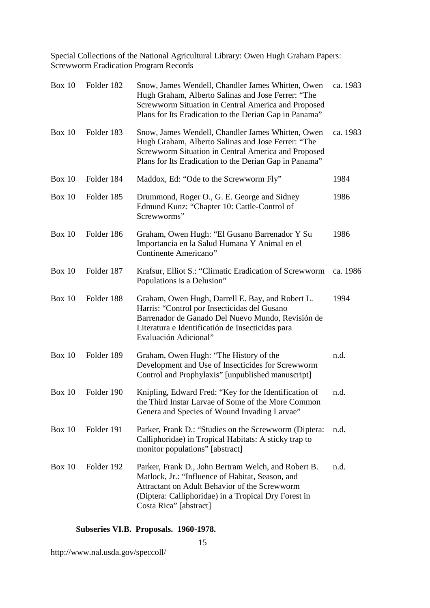| Box 10        | Folder 182 | Snow, James Wendell, Chandler James Whitten, Owen<br>Hugh Graham, Alberto Salinas and Jose Ferrer: "The<br>Screwworm Situation in Central America and Proposed<br>Plans for Its Eradication to the Derian Gap in Panama"                   | ca. 1983 |
|---------------|------------|--------------------------------------------------------------------------------------------------------------------------------------------------------------------------------------------------------------------------------------------|----------|
| Box $10$      | Folder 183 | Snow, James Wendell, Chandler James Whitten, Owen<br>Hugh Graham, Alberto Salinas and Jose Ferrer: "The<br>Screwworm Situation in Central America and Proposed<br>Plans for Its Eradication to the Derian Gap in Panama"                   | ca. 1983 |
| Box $10$      | Folder 184 | Maddox, Ed: "Ode to the Screwworm Fly"                                                                                                                                                                                                     | 1984     |
| Box $10$      | Folder 185 | Drummond, Roger O., G. E. George and Sidney<br>Edmund Kunz: "Chapter 10: Cattle-Control of<br>Screwworms"                                                                                                                                  | 1986     |
| <b>Box 10</b> | Folder 186 | Graham, Owen Hugh: "El Gusano Barrenador Y Su<br>Importancia en la Salud Humana Y Animal en el<br>Continente Americano"                                                                                                                    | 1986     |
| <b>Box 10</b> | Folder 187 | Krafsur, Elliot S.: "Climatic Eradication of Screwworm<br>Populations is a Delusion"                                                                                                                                                       | ca. 1986 |
| <b>Box 10</b> | Folder 188 | Graham, Owen Hugh, Darrell E. Bay, and Robert L.<br>Harris: "Control por Insecticidas del Gusano<br>Barrenador de Ganado Del Nuevo Mundo, Revisión de<br>Literatura e Identificatión de Insecticidas para<br>Evaluación Adicional"         | 1994     |
| <b>Box 10</b> | Folder 189 | Graham, Owen Hugh: "The History of the<br>Development and Use of Insecticides for Screwworm<br>Control and Prophylaxis" [unpublished manuscript]                                                                                           | n.d.     |
| <b>Box 10</b> | Folder 190 | Knipling, Edward Fred: "Key for the Identification of<br>the Third Instar Larvae of Some of the More Common<br>Genera and Species of Wound Invading Larvae"                                                                                | n.d.     |
| <b>Box 10</b> | Folder 191 | Parker, Frank D.: "Studies on the Screwworm (Diptera:<br>Calliphoridae) in Tropical Habitats: A sticky trap to<br>monitor populations" [abstract]                                                                                          | n.d.     |
| Box $10$      | Folder 192 | Parker, Frank D., John Bertram Welch, and Robert B.<br>Matlock, Jr.: "Influence of Habitat, Season, and<br>Attractant on Adult Behavior of the Screwworm<br>(Diptera: Calliphoridae) in a Tropical Dry Forest in<br>Costa Rica" [abstract] | n.d.     |

## **Subseries VI.B. Proposals. 1960-1978.**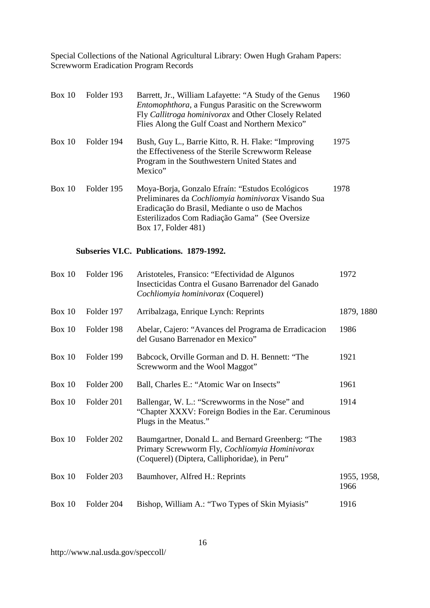| Box 10        | Folder 193 | Barrett, Jr., William Lafayette: "A Study of the Genus<br><i>Entomophthora</i> , a Fungus Parasitic on the Screwworm<br>Fly Callitroga hominivorax and Other Closely Related<br>Flies Along the Gulf Coast and Northern Mexico"   | 1960                |
|---------------|------------|-----------------------------------------------------------------------------------------------------------------------------------------------------------------------------------------------------------------------------------|---------------------|
| Box 10        | Folder 194 | Bush, Guy L., Barrie Kitto, R. H. Flake: "Improving<br>the Effectiveness of the Sterile Screwworm Release<br>Program in the Southwestern United States and<br>Mexico"                                                             | 1975                |
| <b>Box 10</b> | Folder 195 | Moya-Borja, Gonzalo Efraín: "Estudos Ecológicos<br>Preliminares da Cochliomyia hominivorax Visando Sua<br>Eradicação do Brasil, Mediante o uso de Machos<br>Esterilizados Com Radiação Gama" (See Oversize<br>Box 17, Folder 481) | 1978                |
|               |            | Subseries VI.C. Publications. 1879-1992.                                                                                                                                                                                          |                     |
| <b>Box 10</b> | Folder 196 | Aristoteles, Fransico: "Efectividad de Algunos<br>Insecticidas Contra el Gusano Barrenador del Ganado<br>Cochliomyia hominivorax (Coquerel)                                                                                       | 1972                |
| <b>Box 10</b> | Folder 197 | Arribalzaga, Enrique Lynch: Reprints                                                                                                                                                                                              | 1879, 1880          |
| Box 10        | Folder 198 | Abelar, Cajero: "Avances del Programa de Erradicacion<br>del Gusano Barrenador en Mexico"                                                                                                                                         | 1986                |
| Box 10        | Folder 199 | Babcock, Orville Gorman and D. H. Bennett: "The<br>Screwworm and the Wool Maggot"                                                                                                                                                 | 1921                |
| Box 10        | Folder 200 | Ball, Charles E.: "Atomic War on Insects"                                                                                                                                                                                         | 1961                |
| Box 10        | Folder 201 | Ballengar, W. L.: "Screwworms in the Nose" and<br>"Chapter XXXV: Foreign Bodies in the Ear. Ceruminous<br>Plugs in the Meatus."                                                                                                   | 1914                |
| Box 10        | Folder 202 | Baumgartner, Donald L. and Bernard Greenberg: "The<br>Primary Screwworm Fly, Cochliomyia Hominivorax<br>(Coquerel) (Diptera, Calliphoridae), in Peru"                                                                             | 1983                |
| <b>Box 10</b> | Folder 203 | Baumhover, Alfred H.: Reprints                                                                                                                                                                                                    | 1955, 1958,<br>1966 |

Box 10 Folder 204 Bishop, William A.: "Two Types of Skin Myiasis" 1916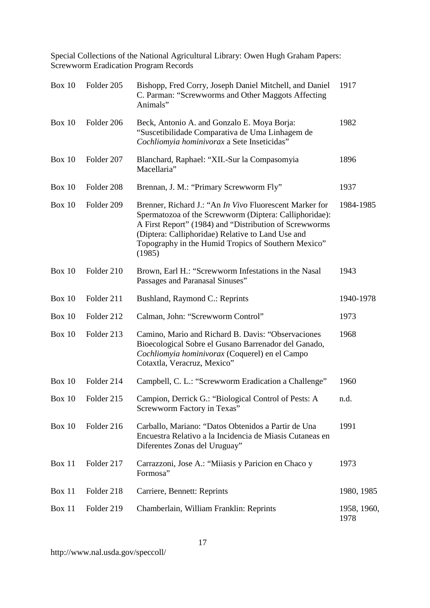| Box 10        | Folder 205 | Bishopp, Fred Corry, Joseph Daniel Mitchell, and Daniel<br>C. Parman: "Screwworms and Other Maggots Affecting<br>Animals"                                                                                                                                                                         | 1917                |
|---------------|------------|---------------------------------------------------------------------------------------------------------------------------------------------------------------------------------------------------------------------------------------------------------------------------------------------------|---------------------|
| Box $10$      | Folder 206 | Beck, Antonio A. and Gonzalo E. Moya Borja:<br>"Suscetibilidade Comparativa de Uma Linhagem de<br>Cochliomyia hominivorax a Sete Inseticidas"                                                                                                                                                     | 1982                |
| <b>Box 10</b> | Folder 207 | Blanchard, Raphael: "XII.-Sur la Compasomyia<br>Macellaria"                                                                                                                                                                                                                                       | 1896                |
| <b>Box 10</b> | Folder 208 | Brennan, J. M.: "Primary Screwworm Fly"                                                                                                                                                                                                                                                           | 1937                |
| <b>Box 10</b> | Folder 209 | Brenner, Richard J.: "An In Vivo Fluorescent Marker for<br>Spermatozoa of the Screwworm (Diptera: Calliphoridae):<br>A First Report" (1984) and "Distribution of Screwworms<br>(Diptera: Calliphoridae) Relative to Land Use and<br>Topography in the Humid Tropics of Southern Mexico"<br>(1985) | 1984-1985           |
| Box $10$      | Folder 210 | Brown, Earl H.: "Screwworm Infestations in the Nasal<br>Passages and Paranasal Sinuses"                                                                                                                                                                                                           | 1943                |
| Box 10        | Folder 211 | Bushland, Raymond C.: Reprints                                                                                                                                                                                                                                                                    | 1940-1978           |
| Box 10        | Folder 212 | Calman, John: "Screwworm Control"                                                                                                                                                                                                                                                                 | 1973                |
| Box 10        | Folder 213 | Camino, Mario and Richard B. Davis: "Observaciones"<br>Bioecological Sobre el Gusano Barrenador del Ganado,<br>Cochliomyia hominivorax (Coquerel) en el Campo<br>Cotaxtla, Veracruz, Mexico"                                                                                                      | 1968                |
| Box 10        | Folder 214 | Campbell, C. L.: "Screwworm Eradication a Challenge"                                                                                                                                                                                                                                              | 1960                |
| <b>Box 10</b> | Folder 215 | Campion, Derrick G.: "Biological Control of Pests: A<br>Screwworm Factory in Texas"                                                                                                                                                                                                               | n.d.                |
| Box 10        | Folder 216 | Carballo, Mariano: "Datos Obtenidos a Partir de Una<br>Encuestra Relativo a la Incidencia de Miasis Cutaneas en<br>Diferentes Zonas del Uruguay"                                                                                                                                                  | 1991                |
| Box 11        | Folder 217 | Carrazzoni, Jose A.: "Miiasis y Paricion en Chaco y<br>Formosa"                                                                                                                                                                                                                                   | 1973                |
| Box 11        | Folder 218 | Carriere, Bennett: Reprints                                                                                                                                                                                                                                                                       | 1980, 1985          |
| <b>Box 11</b> | Folder 219 | Chamberlain, William Franklin: Reprints                                                                                                                                                                                                                                                           | 1958, 1960,<br>1978 |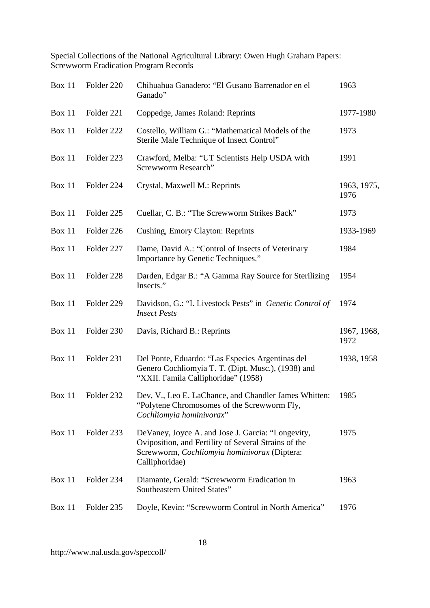| Box 11        | Folder 220 | Chihuahua Ganadero: "El Gusano Barrenador en el<br>Ganado"                                                                                                                  | 1963                |
|---------------|------------|-----------------------------------------------------------------------------------------------------------------------------------------------------------------------------|---------------------|
| Box 11        | Folder 221 | Coppedge, James Roland: Reprints                                                                                                                                            | 1977-1980           |
| Box 11        | Folder 222 | Costello, William G.: "Mathematical Models of the<br>Sterile Male Technique of Insect Control"                                                                              | 1973                |
| <b>Box 11</b> | Folder 223 | Crawford, Melba: "UT Scientists Help USDA with<br>Screwworm Research"                                                                                                       | 1991                |
| Box 11        | Folder 224 | Crystal, Maxwell M.: Reprints                                                                                                                                               | 1963, 1975,<br>1976 |
| Box 11        | Folder 225 | Cuellar, C. B.: "The Screwworm Strikes Back"                                                                                                                                | 1973                |
| <b>Box 11</b> | Folder 226 | Cushing, Emory Clayton: Reprints                                                                                                                                            | 1933-1969           |
| Box 11        | Folder 227 | Dame, David A.: "Control of Insects of Veterinary<br>Importance by Genetic Techniques."                                                                                     | 1984                |
| <b>Box 11</b> | Folder 228 | Darden, Edgar B.: "A Gamma Ray Source for Sterilizing<br>Insects."                                                                                                          | 1954                |
| Box 11        | Folder 229 | Davidson, G.: "I. Livestock Pests" in Genetic Control of<br><b>Insect Pests</b>                                                                                             | 1974                |
| Box 11        | Folder 230 | Davis, Richard B.: Reprints                                                                                                                                                 | 1967, 1968,<br>1972 |
| Box 11        | Folder 231 | Del Ponte, Eduardo: "Las Especies Argentinas del<br>Genero Cochliomyia T. T. (Dipt. Musc.), (1938) and<br>"XXII. Famila Calliphoridae" (1958)                               | 1938, 1958          |
| <b>Box 11</b> | Folder 232 | Dev, V., Leo E. LaChance, and Chandler James Whitten:<br>"Polytene Chromosomes of the Screwworm Fly,<br>Cochliomyia hominivorax"                                            | 1985                |
| Box 11        | Folder 233 | DeVaney, Joyce A. and Jose J. Garcia: "Longevity,<br>Oviposition, and Fertility of Several Strains of the<br>Screwworm, Cochliomyia hominivorax (Diptera:<br>Calliphoridae) | 1975                |
| Box 11        | Folder 234 | Diamante, Gerald: "Screwworm Eradication in<br>Southeastern United States"                                                                                                  | 1963                |
| Box 11        | Folder 235 | Doyle, Kevin: "Screwworm Control in North America"                                                                                                                          | 1976                |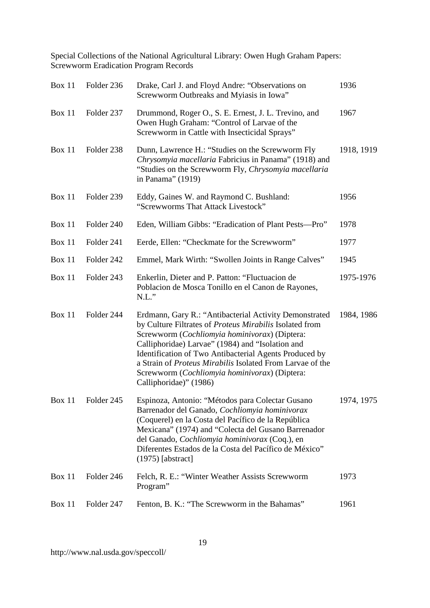| Box 11        | Folder 236 | Drake, Carl J. and Floyd Andre: "Observations on<br>Screwworm Outbreaks and Myiasis in Iowa"                                                                                                                                                                                                                                                                                                                                    | 1936       |
|---------------|------------|---------------------------------------------------------------------------------------------------------------------------------------------------------------------------------------------------------------------------------------------------------------------------------------------------------------------------------------------------------------------------------------------------------------------------------|------------|
| Box 11        | Folder 237 | Drummond, Roger O., S. E. Ernest, J. L. Trevino, and<br>Owen Hugh Graham: "Control of Larvae of the<br>Screwworm in Cattle with Insecticidal Sprays"                                                                                                                                                                                                                                                                            | 1967       |
| <b>Box 11</b> | Folder 238 | Dunn, Lawrence H.: "Studies on the Screwworm Fly<br>Chrysomyia macellaria Fabricius in Panama" (1918) and<br>"Studies on the Screwworm Fly, Chrysomyia macellaria<br>in Panama" (1919)                                                                                                                                                                                                                                          | 1918, 1919 |
| Box 11        | Folder 239 | Eddy, Gaines W. and Raymond C. Bushland:<br>"Screwworms That Attack Livestock"                                                                                                                                                                                                                                                                                                                                                  | 1956       |
| Box 11        | Folder 240 | Eden, William Gibbs: "Eradication of Plant Pests-Pro"                                                                                                                                                                                                                                                                                                                                                                           | 1978       |
| Box 11        | Folder 241 | Eerde, Ellen: "Checkmate for the Screwworm"                                                                                                                                                                                                                                                                                                                                                                                     | 1977       |
| Box 11        | Folder 242 | Emmel, Mark Wirth: "Swollen Joints in Range Calves"                                                                                                                                                                                                                                                                                                                                                                             | 1945       |
| <b>Box 11</b> | Folder 243 | Enkerlin, Dieter and P. Patton: "Fluctuacion de<br>Poblacion de Mosca Tonillo en el Canon de Rayones,<br>$N.L.$ "                                                                                                                                                                                                                                                                                                               | 1975-1976  |
| Box 11        | Folder 244 | Erdmann, Gary R.: "Antibacterial Activity Demonstrated<br>by Culture Filtrates of Proteus Mirabilis Isolated from<br>Screwworm (Cochliomyia hominivorax) (Diptera:<br>Calliphoridae) Larvae" (1984) and "Isolation and<br>Identification of Two Antibacterial Agents Produced by<br>a Strain of <i>Proteus Mirabilis</i> Isolated From Larvae of the<br>Screwworm (Cochliomyia hominivorax) (Diptera:<br>Calliphoridae)" (1986) | 1984, 1986 |
| Box 11        | Folder 245 | Espinoza, Antonio: "Métodos para Colectar Gusano<br>Barrenador del Ganado, Cochliomyia hominivorax<br>(Coquerel) en la Costa del Pacífico de la República<br>Mexicana" (1974) and "Colecta del Gusano Barrenador<br>del Ganado, Cochliomyia hominivorax (Coq.), en<br>Diferentes Estados de la Costa del Pacífico de México"<br>$(1975)$ [abstract]                                                                             | 1974, 1975 |
| Box 11        | Folder 246 | Felch, R. E.: "Winter Weather Assists Screwworm<br>Program"                                                                                                                                                                                                                                                                                                                                                                     | 1973       |
| <b>Box 11</b> | Folder 247 | Fenton, B. K.: "The Screwworm in the Bahamas"                                                                                                                                                                                                                                                                                                                                                                                   | 1961       |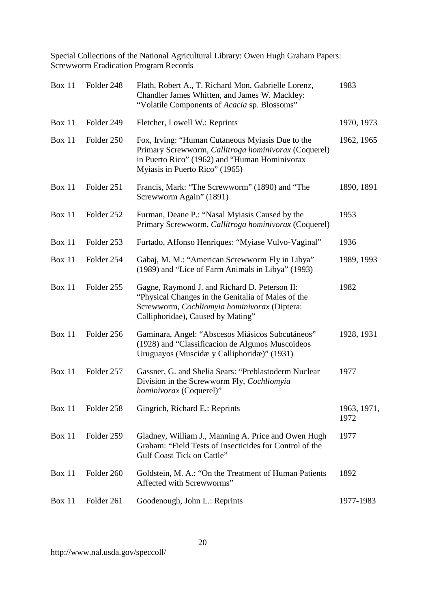| <b>Box 11</b> | Folder 248 | Flath, Robert A., T. Richard Mon, Gabrielle Lorenz,<br>Chandler James Whitten, and James W. Mackley:<br>"Volatile Components of Acacia sp. Blossoms"                                        | 1983                |
|---------------|------------|---------------------------------------------------------------------------------------------------------------------------------------------------------------------------------------------|---------------------|
| <b>Box 11</b> | Folder 249 | Fletcher, Lowell W.: Reprints                                                                                                                                                               | 1970, 1973          |
| <b>Box 11</b> | Folder 250 | Fox, Irving: "Human Cutaneous Myiasis Due to the<br>Primary Screwworm, Callitroga hominivorax (Coquerel)<br>in Puerto Rico" (1962) and "Human Hominivorax<br>Myiasis in Puerto Rico" (1965) | 1962, 1965          |
| Box 11        | Folder 251 | Francis, Mark: "The Screwworm" (1890) and "The<br>Screwworm Again" (1891)                                                                                                                   | 1890, 1891          |
| Box 11        | Folder 252 | Furman, Deane P.: "Nasal Myiasis Caused by the<br>Primary Screwworm, Callitroga hominivorax (Coquerel)                                                                                      | 1953                |
| Box 11        | Folder 253 | Furtado, Affonso Henriques: "Myiase Vulvo-Vaginal"                                                                                                                                          | 1936                |
| <b>Box 11</b> | Folder 254 | Gabaj, M. M.: "American Screwworm Fly in Libya"<br>(1989) and "Lice of Farm Animals in Libya" (1993)                                                                                        | 1989, 1993          |
| Box 11        | Folder 255 | Gagne, Raymond J. and Richard D. Peterson II:<br>"Physical Changes in the Genitalia of Males of the<br>Screwworm, Cochliomyia hominivorax (Diptera:<br>Calliphoridae), Caused by Mating"    | 1982                |
| <b>Box 11</b> | Folder 256 | Gaminara, Angel: "Abscesos Miásicos Subcutáneos"<br>(1928) and "Classificacion de Algunos Muscoideos<br>Uruguayos (Muscidæ y Calliphoridæ)" (1931)                                          | 1928, 1931          |
| Box 11        | Folder 257 | Gassner, G. and Shelia Sears: "Preblastoderm Nuclear<br>Division in the Screwworm Fly, Cochliomyia<br><i>hominivorax</i> (Coquerel)"                                                        | 1977                |
| <b>Box 11</b> | Folder 258 | Gingrich, Richard E.: Reprints                                                                                                                                                              | 1963, 1971,<br>1972 |
| <b>Box 11</b> | Folder 259 | Gladney, William J., Manning A. Price and Owen Hugh<br>Graham: "Field Tests of Insecticides for Control of the<br>Gulf Coast Tick on Cattle"                                                | 1977                |
| <b>Box 11</b> | Folder 260 | Goldstein, M. A.: "On the Treatment of Human Patients<br>Affected with Screwworms"                                                                                                          | 1892                |
| <b>Box 11</b> | Folder 261 | Goodenough, John L.: Reprints                                                                                                                                                               | 1977-1983           |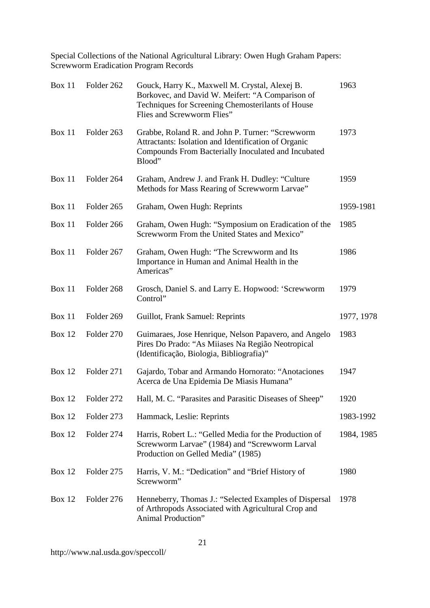| Box 11        | Folder 262 | Gouck, Harry K., Maxwell M. Crystal, Alexej B.<br>Borkovec, and David W. Meifert: "A Comparison of<br>Techniques for Screening Chemosterilants of House<br>Flies and Screwworm Flies" | 1963       |
|---------------|------------|---------------------------------------------------------------------------------------------------------------------------------------------------------------------------------------|------------|
| Box 11        | Folder 263 | Grabbe, Roland R. and John P. Turner: "Screwworm<br>Attractants: Isolation and Identification of Organic<br>Compounds From Bacterially Inoculated and Incubated<br>Blood"             | 1973       |
| Box 11        | Folder 264 | Graham, Andrew J. and Frank H. Dudley: "Culture<br>Methods for Mass Rearing of Screwworm Larvae"                                                                                      | 1959       |
| Box 11        | Folder 265 | Graham, Owen Hugh: Reprints                                                                                                                                                           | 1959-1981  |
| Box 11        | Folder 266 | Graham, Owen Hugh: "Symposium on Eradication of the<br>Screwworm From the United States and Mexico"                                                                                   | 1985       |
| <b>Box 11</b> | Folder 267 | Graham, Owen Hugh: "The Screwworm and Its<br>Importance in Human and Animal Health in the<br>Americas"                                                                                | 1986       |
| Box 11        | Folder 268 | Grosch, Daniel S. and Larry E. Hopwood: 'Screwworm<br>Control"                                                                                                                        | 1979       |
| Box 11        | Folder 269 | Guillot, Frank Samuel: Reprints                                                                                                                                                       | 1977, 1978 |
| <b>Box 12</b> | Folder 270 | Guimaraes, Jose Henrique, Nelson Papavero, and Angelo<br>Pires Do Prado: "As Miiases Na Região Neotropical<br>(Identificação, Biologia, Bibliografia)"                                | 1983       |
| <b>Box 12</b> | Folder 271 | Gajardo, Tobar and Armando Hornorato: "Anotaciones<br>Acerca de Una Epidemia De Miasis Humana"                                                                                        | 1947       |
| <b>Box 12</b> | Folder 272 | Hall, M. C. "Parasites and Parasitic Diseases of Sheep"                                                                                                                               | 1920       |
| <b>Box 12</b> | Folder 273 | Hammack, Leslie: Reprints                                                                                                                                                             | 1983-1992  |
| <b>Box 12</b> | Folder 274 | Harris, Robert L.: "Gelled Media for the Production of<br>Screwworm Larvae" (1984) and "Screwworm Larval<br>Production on Gelled Media" (1985)                                        | 1984, 1985 |
| <b>Box 12</b> | Folder 275 | Harris, V. M.: "Dedication" and "Brief History of<br>Screwworm"                                                                                                                       | 1980       |
| Box 12        | Folder 276 | Henneberry, Thomas J.: "Selected Examples of Dispersal<br>of Arthropods Associated with Agricultural Crop and<br>Animal Production"                                                   | 1978       |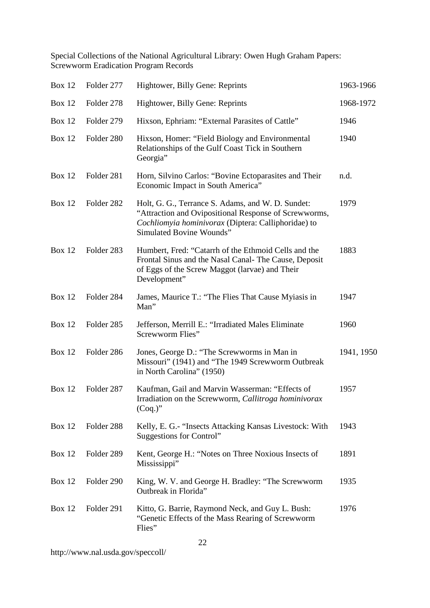| <b>Box 12</b> | Folder 277 | Hightower, Billy Gene: Reprints                                                                                                                                                                      | 1963-1966  |
|---------------|------------|------------------------------------------------------------------------------------------------------------------------------------------------------------------------------------------------------|------------|
| <b>Box 12</b> | Folder 278 | Hightower, Billy Gene: Reprints                                                                                                                                                                      | 1968-1972  |
| <b>Box 12</b> | Folder 279 | Hixson, Ephriam: "External Parasites of Cattle"                                                                                                                                                      | 1946       |
| <b>Box 12</b> | Folder 280 | Hixson, Homer: "Field Biology and Environmental<br>Relationships of the Gulf Coast Tick in Southern<br>Georgia"                                                                                      | 1940       |
| <b>Box 12</b> | Folder 281 | Horn, Silvino Carlos: "Bovine Ectoparasites and Their<br>Economic Impact in South America"                                                                                                           | n.d.       |
| <b>Box 12</b> | Folder 282 | Holt, G. G., Terrance S. Adams, and W. D. Sundet:<br>"Attraction and Ovipositional Response of Screwworms,<br>Cochliomyia hominivorax (Diptera: Calliphoridae) to<br><b>Simulated Bovine Wounds"</b> | 1979       |
| <b>Box 12</b> | Folder 283 | Humbert, Fred: "Catarrh of the Ethmoid Cells and the<br>Frontal Sinus and the Nasal Canal-The Cause, Deposit<br>of Eggs of the Screw Maggot (larvae) and Their<br>Development"                       | 1883       |
| <b>Box 12</b> | Folder 284 | James, Maurice T.: "The Flies That Cause Myiasis in<br>Man"                                                                                                                                          | 1947       |
| <b>Box 12</b> | Folder 285 | Jefferson, Merrill E.: "Irradiated Males Eliminate<br>Screwworm Flies"                                                                                                                               | 1960       |
| <b>Box 12</b> | Folder 286 | Jones, George D.: "The Screwworms in Man in<br>Missouri" (1941) and "The 1949 Screwworm Outbreak<br>in North Carolina" (1950)                                                                        | 1941, 1950 |
| <b>Box 12</b> | Folder 287 | Kaufman, Gail and Marvin Wasserman: "Effects of<br>Irradiation on the Screwworm, Callitroga hominivorax<br>$(Coq.)$ "                                                                                | 1957       |
| Box 12        | Folder 288 | Kelly, E. G. "Insects Attacking Kansas Livestock: With<br>Suggestions for Control"                                                                                                                   | 1943       |
| <b>Box 12</b> | Folder 289 | Kent, George H.: "Notes on Three Noxious Insects of<br>Mississippi"                                                                                                                                  | 1891       |
| <b>Box 12</b> | Folder 290 | King, W. V. and George H. Bradley: "The Screwworm<br>Outbreak in Florida"                                                                                                                            | 1935       |
| <b>Box 12</b> | Folder 291 | Kitto, G. Barrie, Raymond Neck, and Guy L. Bush:<br>"Genetic Effects of the Mass Rearing of Screwworm<br>Flies"                                                                                      | 1976       |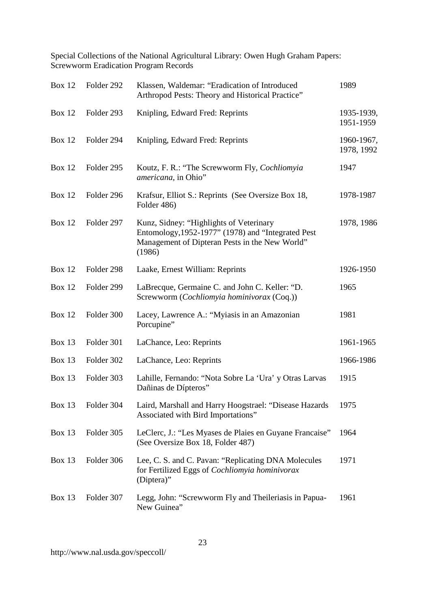| <b>Box 12</b> | Folder 292 | Klassen, Waldemar: "Eradication of Introduced<br>Arthropod Pests: Theory and Historical Practice"                                                         | 1989                     |
|---------------|------------|-----------------------------------------------------------------------------------------------------------------------------------------------------------|--------------------------|
| <b>Box 12</b> | Folder 293 | Knipling, Edward Fred: Reprints                                                                                                                           | 1935-1939,<br>1951-1959  |
| <b>Box 12</b> | Folder 294 | Knipling, Edward Fred: Reprints                                                                                                                           | 1960-1967,<br>1978, 1992 |
| <b>Box 12</b> | Folder 295 | Koutz, F. R.: "The Screwworm Fly, Cochliomyia<br>americana, in Ohio"                                                                                      | 1947                     |
| <b>Box 12</b> | Folder 296 | Krafsur, Elliot S.: Reprints (See Oversize Box 18,<br>Folder 486)                                                                                         | 1978-1987                |
| <b>Box 12</b> | Folder 297 | Kunz, Sidney: "Highlights of Veterinary<br>Entomology, 1952-1977" (1978) and "Integrated Pest<br>Management of Dipteran Pests in the New World"<br>(1986) | 1978, 1986               |
| <b>Box 12</b> | Folder 298 | Laake, Ernest William: Reprints                                                                                                                           | 1926-1950                |
| <b>Box 12</b> | Folder 299 | LaBrecque, Germaine C. and John C. Keller: "D.<br>Screwworm (Cochliomyia hominivorax (Coq.))                                                              | 1965                     |
| <b>Box 12</b> | Folder 300 | Lacey, Lawrence A.: "Myiasis in an Amazonian<br>Porcupine"                                                                                                | 1981                     |
| Box 13        | Folder 301 | LaChance, Leo: Reprints                                                                                                                                   | 1961-1965                |
| <b>Box 13</b> | Folder 302 | LaChance, Leo: Reprints                                                                                                                                   | 1966-1986                |
| <b>Box 13</b> | Folder 303 | Lahille, Fernando: "Nota Sobre La 'Ura' y Otras Larvas<br>Dañinas de Dípteros"                                                                            | 1915                     |
| <b>Box 13</b> | Folder 304 | Laird, Marshall and Harry Hoogstrael: "Disease Hazards<br>Associated with Bird Importations"                                                              | 1975                     |
| <b>Box 13</b> | Folder 305 | LeClerc, J.: "Les Myases de Plaies en Guyane Francaise"<br>(See Oversize Box 18, Folder 487)                                                              | 1964                     |
| <b>Box 13</b> | Folder 306 | Lee, C. S. and C. Pavan: "Replicating DNA Molecules<br>for Fertilized Eggs of Cochliomyia hominivorax<br>(Diptera)"                                       | 1971                     |
| <b>Box 13</b> | Folder 307 | Legg, John: "Screwworm Fly and Theileriasis in Papua-<br>New Guinea"                                                                                      | 1961                     |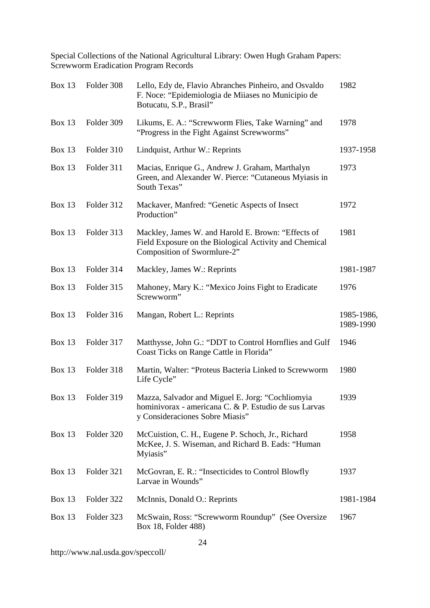| <b>Box 13</b> | Folder 308 | Lello, Edy de, Flavio Abranches Pinheiro, and Osvaldo<br>F. Noce: "Epidemiologia de Miiases no Municipio de<br>Botucatu, S.P., Brasil"       | 1982                    |
|---------------|------------|----------------------------------------------------------------------------------------------------------------------------------------------|-------------------------|
| <b>Box 13</b> | Folder 309 | Likums, E. A.: "Screwworm Flies, Take Warning" and<br>"Progress in the Fight Against Screwworms"                                             | 1978                    |
| <b>Box 13</b> | Folder 310 | Lindquist, Arthur W.: Reprints                                                                                                               | 1937-1958               |
| <b>Box 13</b> | Folder 311 | Macias, Enrique G., Andrew J. Graham, Marthalyn<br>Green, and Alexander W. Pierce: "Cutaneous Myiasis in<br>South Texas"                     | 1973                    |
| <b>Box 13</b> | Folder 312 | Mackaver, Manfred: "Genetic Aspects of Insect<br>Production"                                                                                 | 1972                    |
| <b>Box 13</b> | Folder 313 | Mackley, James W. and Harold E. Brown: "Effects of<br>Field Exposure on the Biological Activity and Chemical<br>Composition of Swormlure-2"  | 1981                    |
| <b>Box 13</b> | Folder 314 | Mackley, James W.: Reprints                                                                                                                  | 1981-1987               |
| <b>Box 13</b> | Folder 315 | Mahoney, Mary K.: "Mexico Joins Fight to Eradicate<br>Screwworm"                                                                             | 1976                    |
| <b>Box 13</b> | Folder 316 | Mangan, Robert L.: Reprints                                                                                                                  | 1985-1986,<br>1989-1990 |
|               |            |                                                                                                                                              |                         |
| <b>Box 13</b> | Folder 317 | Matthysse, John G.: "DDT to Control Hornflies and Gulf<br>Coast Ticks on Range Cattle in Florida"                                            | 1946                    |
| <b>Box 13</b> | Folder 318 | Martin, Walter: "Proteus Bacteria Linked to Screwworm<br>Life Cycle"                                                                         | 1980                    |
| <b>Box 13</b> | Folder 319 | Mazza, Salvador and Miguel E. Jorg: "Cochliomyia<br>hominivorax - americana C. & P. Estudio de sus Larvas<br>y Consideraciones Sobre Miasis" | 1939                    |
| <b>Box 13</b> | Folder 320 | McCuistion, C. H., Eugene P. Schoch, Jr., Richard<br>McKee, J. S. Wiseman, and Richard B. Eads: "Human<br>Myiasis"                           | 1958                    |
| <b>Box 13</b> | Folder 321 | McGovran, E. R.: "Insecticides to Control Blowfly<br>Larvae in Wounds"                                                                       | 1937                    |
| <b>Box 13</b> | Folder 322 | McInnis, Donald O.: Reprints                                                                                                                 | 1981-1984               |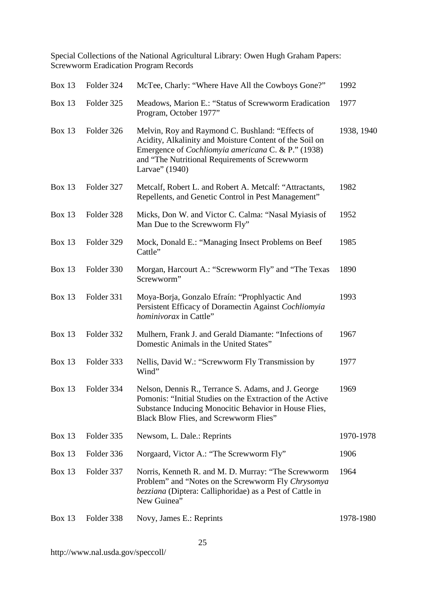| <b>Box 13</b> | Folder 324 | McTee, Charly: "Where Have All the Cowboys Gone?"                                                                                                                                                                                            | 1992       |
|---------------|------------|----------------------------------------------------------------------------------------------------------------------------------------------------------------------------------------------------------------------------------------------|------------|
| <b>Box 13</b> | Folder 325 | Meadows, Marion E.: "Status of Screwworm Eradication<br>Program, October 1977"                                                                                                                                                               | 1977       |
| Box 13        | Folder 326 | Melvin, Roy and Raymond C. Bushland: "Effects of<br>Acidity, Alkalinity and Moisture Content of the Soil on<br>Emergence of <i>Cochliomyia americana</i> C. & P." (1938)<br>and "The Nutritional Requirements of Screwworm<br>Larvae" (1940) | 1938, 1940 |
| <b>Box 13</b> | Folder 327 | Metcalf, Robert L. and Robert A. Metcalf: "Attractants,<br>Repellents, and Genetic Control in Pest Management"                                                                                                                               | 1982       |
| <b>Box 13</b> | Folder 328 | Micks, Don W. and Victor C. Calma: "Nasal Myiasis of<br>Man Due to the Screwworm Fly"                                                                                                                                                        | 1952       |
| <b>Box 13</b> | Folder 329 | Mock, Donald E.: "Managing Insect Problems on Beef<br>Cattle"                                                                                                                                                                                | 1985       |
| <b>Box 13</b> | Folder 330 | Morgan, Harcourt A.: "Screwworm Fly" and "The Texas<br>Screwworm"                                                                                                                                                                            | 1890       |
| <b>Box 13</b> | Folder 331 | Moya-Borja, Gonzalo Efraín: "Prophlyactic And<br>Persistent Efficacy of Doramectin Against Cochliomyia<br><i>hominivorax</i> in Cattle"                                                                                                      | 1993       |
| <b>Box 13</b> | Folder 332 | Mulhern, Frank J. and Gerald Diamante: "Infections of<br>Domestic Animals in the United States"                                                                                                                                              | 1967       |
| <b>Box 13</b> | Folder 333 | Nellis, David W.: "Screwworm Fly Transmission by<br>Wind"                                                                                                                                                                                    | 1977       |
| <b>Box 13</b> | Folder 334 | Nelson, Dennis R., Terrance S. Adams, and J. George<br>Pomonis: "Initial Studies on the Extraction of the Active<br>Substance Inducing Monocitic Behavior in House Flies,<br><b>Black Blow Flies, and Screwworm Flies"</b>                   | 1969       |
| <b>Box 13</b> | Folder 335 | Newsom, L. Dale.: Reprints                                                                                                                                                                                                                   | 1970-1978  |
| <b>Box 13</b> | Folder 336 | Norgaard, Victor A.: "The Screwworm Fly"                                                                                                                                                                                                     | 1906       |
| <b>Box 13</b> | Folder 337 | Norris, Kenneth R. and M. D. Murray: "The Screwworm<br>Problem" and "Notes on the Screwworm Fly Chrysomya<br><i>bezziana</i> (Diptera: Calliphoridae) as a Pest of Cattle in<br>New Guinea"                                                  | 1964       |
| Box 13        | Folder 338 | Novy, James E.: Reprints                                                                                                                                                                                                                     | 1978-1980  |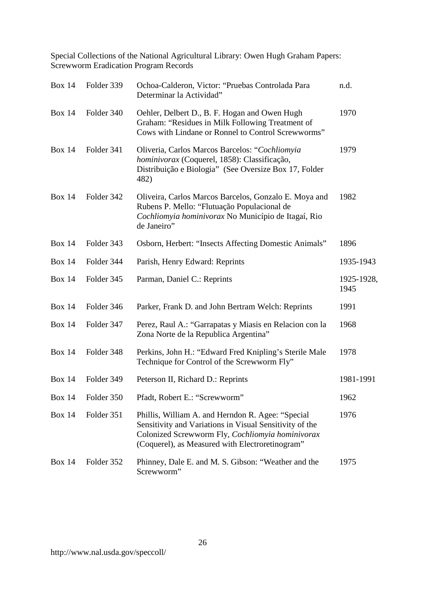| <b>Box 14</b> | Folder 339 | Ochoa-Calderon, Victor: "Pruebas Controlada Para<br>Determinar la Actividad"                                                                                                                                        | n.d.               |
|---------------|------------|---------------------------------------------------------------------------------------------------------------------------------------------------------------------------------------------------------------------|--------------------|
| <b>Box 14</b> | Folder 340 | Oehler, Delbert D., B. F. Hogan and Owen Hugh<br>Graham: "Residues in Milk Following Treatment of<br>Cows with Lindane or Ronnel to Control Screwworms"                                                             | 1970               |
| <b>Box 14</b> | Folder 341 | Oliveria, Carlos Marcos Barcelos: "Cochliomyia<br>hominivorax (Coquerel, 1858): Classificação,<br>Distribuição e Biologia" (See Oversize Box 17, Folder<br>482)                                                     | 1979               |
| <b>Box 14</b> | Folder 342 | Oliveira, Carlos Marcos Barcelos, Gonzalo E. Moya and<br>Rubens P. Mello: "Flutuação Populacional de<br>Cochliomyia hominivorax No Município de Itagaí, Rio<br>de Janeiro"                                          | 1982               |
| <b>Box 14</b> | Folder 343 | Osborn, Herbert: "Insects Affecting Domestic Animals"                                                                                                                                                               | 1896               |
| <b>Box 14</b> | Folder 344 | Parish, Henry Edward: Reprints                                                                                                                                                                                      | 1935-1943          |
| <b>Box 14</b> | Folder 345 | Parman, Daniel C.: Reprints                                                                                                                                                                                         | 1925-1928,<br>1945 |
| <b>Box 14</b> | Folder 346 | Parker, Frank D. and John Bertram Welch: Reprints                                                                                                                                                                   | 1991               |
| <b>Box 14</b> | Folder 347 | Perez, Raul A.: "Garrapatas y Miasis en Relacion con la<br>Zona Norte de la Republica Argentina"                                                                                                                    | 1968               |
| <b>Box 14</b> | Folder 348 | Perkins, John H.: "Edward Fred Knipling's Sterile Male<br>Technique for Control of the Screwworm Fly"                                                                                                               | 1978               |
| <b>Box 14</b> | Folder 349 | Peterson II, Richard D.: Reprints                                                                                                                                                                                   | 1981-1991          |
| <b>Box 14</b> | Folder 350 | Pfadt, Robert E.: "Screwworm"                                                                                                                                                                                       | 1962               |
| <b>Box 14</b> | Folder 351 | Phillis, William A. and Herndon R. Agee: "Special<br>Sensitivity and Variations in Visual Sensitivity of the<br>Colonized Screwworm Fly, Cochliomyia hominivorax<br>(Coquerel), as Measured with Electroretinogram" | 1976               |
| <b>Box 14</b> | Folder 352 | Phinney, Dale E. and M. S. Gibson: "Weather and the<br>Screwworm"                                                                                                                                                   | 1975               |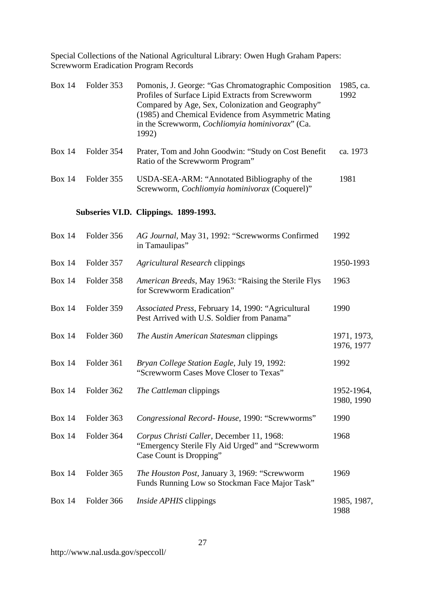| Box 14 | Folder 353 | Pomonis, J. George: "Gas Chromatographic Composition"<br>Profiles of Surface Lipid Extracts from Screwworm<br>Compared by Age, Sex, Colonization and Geography"<br>(1985) and Chemical Evidence from Asymmetric Mating<br>in the Screwworm, <i>Cochliomyia hominivorax</i> " (Ca.<br>1992) | 1985, ca.<br>1992 |
|--------|------------|--------------------------------------------------------------------------------------------------------------------------------------------------------------------------------------------------------------------------------------------------------------------------------------------|-------------------|
| Box 14 | Folder 354 | Prater, Tom and John Goodwin: "Study on Cost Benefit"<br>Ratio of the Screwworm Program"                                                                                                                                                                                                   | ca. 1973          |
| Box 14 | Folder 355 | USDA-SEA-ARM: "Annotated Bibliography of the<br>Screwworm, Cochliomyia hominivorax (Coquerel)"                                                                                                                                                                                             | 1981              |

# **Subseries VI.D. Clippings. 1899-1993.**

| <b>Box 14</b> | Folder 356 | AG Journal, May 31, 1992: "Screwworms Confirmed<br>in Tamaulipas"                                                        | 1992                      |
|---------------|------------|--------------------------------------------------------------------------------------------------------------------------|---------------------------|
| <b>Box 14</b> | Folder 357 | <b>Agricultural Research clippings</b>                                                                                   | 1950-1993                 |
| <b>Box 14</b> | Folder 358 | American Breeds, May 1963: "Raising the Sterile Flys<br>for Screwworm Eradication"                                       | 1963                      |
| <b>Box 14</b> | Folder 359 | Associated Press, February 14, 1990: "Agricultural<br>Pest Arrived with U.S. Soldier from Panama"                        | 1990                      |
| <b>Box 14</b> | Folder 360 | The Austin American Statesman clippings                                                                                  | 1971, 1973,<br>1976, 1977 |
| <b>Box 14</b> | Folder 361 | Bryan College Station Eagle, July 19, 1992:<br>"Screwworm Cases Move Closer to Texas"                                    | 1992                      |
| <b>Box 14</b> | Folder 362 | The Cattleman clippings                                                                                                  | 1952-1964,<br>1980, 1990  |
| <b>Box 14</b> | Folder 363 | Congressional Record- House, 1990: "Screwworms"                                                                          | 1990                      |
| <b>Box 14</b> | Folder 364 | Corpus Christi Caller, December 11, 1968:<br>"Emergency Sterile Fly Aid Urged" and "Screwworm<br>Case Count is Dropping" | 1968                      |
| <b>Box 14</b> | Folder 365 | The Houston Post, January 3, 1969: "Screwworm<br>Funds Running Low so Stockman Face Major Task"                          | 1969                      |
| <b>Box 14</b> | Folder 366 | <i>Inside APHIS</i> clippings                                                                                            | 1985, 1987,<br>1988       |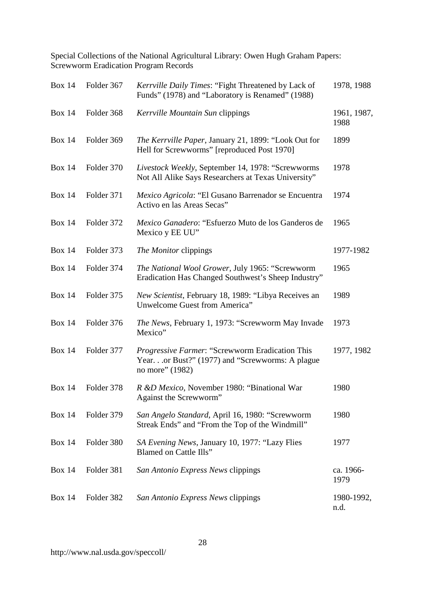| <b>Box 14</b> | Folder 367 | Kerrville Daily Times: "Fight Threatened by Lack of<br>Funds" (1978) and "Laboratory is Renamed" (1988)                      | 1978, 1988          |
|---------------|------------|------------------------------------------------------------------------------------------------------------------------------|---------------------|
| <b>Box 14</b> | Folder 368 | Kerrville Mountain Sun clippings                                                                                             | 1961, 1987,<br>1988 |
| <b>Box 14</b> | Folder 369 | The Kerrville Paper, January 21, 1899: "Look Out for<br>Hell for Screwworms" [reproduced Post 1970]                          | 1899                |
| <b>Box 14</b> | Folder 370 | Livestock Weekly, September 14, 1978: "Screwworms<br>Not All Alike Says Researchers at Texas University"                     | 1978                |
| <b>Box 14</b> | Folder 371 | Mexico Agricola: "El Gusano Barrenador se Encuentra<br>Activo en las Areas Secas"                                            | 1974                |
| <b>Box 14</b> | Folder 372 | Mexico Ganadero: "Esfuerzo Muto de los Ganderos de<br>Mexico y EE UU"                                                        | 1965                |
| <b>Box 14</b> | Folder 373 | The Monitor clippings                                                                                                        | 1977-1982           |
| <b>Box 14</b> | Folder 374 | The National Wool Grower, July 1965: "Screwworm<br>Eradication Has Changed Southwest's Sheep Industry"                       | 1965                |
| <b>Box 14</b> | Folder 375 | New Scientist, February 18, 1989: "Libya Receives an<br>Unwelcome Guest from America"                                        | 1989                |
| <b>Box 14</b> | Folder 376 | The News, February 1, 1973: "Screwworm May Invade<br>Mexico"                                                                 | 1973                |
| <b>Box 14</b> | Folder 377 | <i>Progressive Farmer</i> : "Screwworm Eradication This<br>Yearor Bust?" (1977) and "Screwworms: A plague<br>no more" (1982) | 1977, 1982          |
| <b>Box 14</b> | Folder 378 | R &D Mexico, November 1980: "Binational War<br>Against the Screwworm"                                                        | 1980                |
| <b>Box 14</b> | Folder 379 | San Angelo Standard, April 16, 1980: "Screwworm<br>Streak Ends" and "From the Top of the Windmill"                           | 1980                |
| <b>Box 14</b> | Folder 380 | SA Evening News, January 10, 1977: "Lazy Flies<br>Blamed on Cattle Ills"                                                     | 1977                |
| <b>Box 14</b> | Folder 381 | San Antonio Express News clippings                                                                                           | ca. 1966-<br>1979   |
| <b>Box 14</b> | Folder 382 | San Antonio Express News clippings                                                                                           | 1980-1992,<br>n.d.  |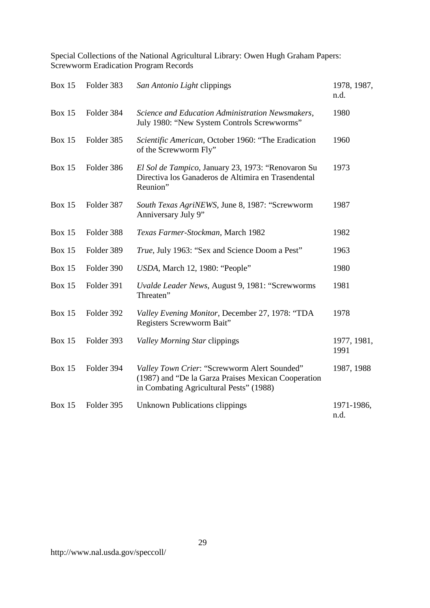| <b>Box 15</b> | Folder 383 | San Antonio Light clippings                                                                                                                    | 1978, 1987,<br>n.d. |
|---------------|------------|------------------------------------------------------------------------------------------------------------------------------------------------|---------------------|
| <b>Box 15</b> | Folder 384 | Science and Education Administration Newsmakers,<br>July 1980: "New System Controls Screwworms"                                                | 1980                |
| <b>Box 15</b> | Folder 385 | Scientific American, October 1960: "The Eradication<br>of the Screwworm Fly"                                                                   | 1960                |
| <b>Box 15</b> | Folder 386 | El Sol de Tampico, January 23, 1973: "Renovaron Su<br>Directiva los Ganaderos de Altimira en Trasendental<br>Reunion"                          | 1973                |
| <b>Box 15</b> | Folder 387 | South Texas AgriNEWS, June 8, 1987: "Screwworm<br>Anniversary July 9"                                                                          | 1987                |
| <b>Box 15</b> | Folder 388 | Texas Farmer-Stockman, March 1982                                                                                                              | 1982                |
| <b>Box 15</b> | Folder 389 | True, July 1963: "Sex and Science Doom a Pest"                                                                                                 | 1963                |
| <b>Box 15</b> | Folder 390 | USDA, March 12, 1980: "People"                                                                                                                 | 1980                |
| <b>Box 15</b> | Folder 391 | Uvalde Leader News, August 9, 1981: "Screwworms<br>Threaten"                                                                                   | 1981                |
| <b>Box 15</b> | Folder 392 | Valley Evening Monitor, December 27, 1978: "TDA<br>Registers Screwworm Bait"                                                                   | 1978                |
| <b>Box 15</b> | Folder 393 | <b>Valley Morning Star clippings</b>                                                                                                           | 1977, 1981,<br>1991 |
| <b>Box 15</b> | Folder 394 | Valley Town Crier: "Screwworm Alert Sounded"<br>(1987) and "De la Garza Praises Mexican Cooperation<br>in Combating Agricultural Pests" (1988) | 1987, 1988          |
| <b>Box 15</b> | Folder 395 | <b>Unknown Publications clippings</b>                                                                                                          | 1971-1986,<br>n.d.  |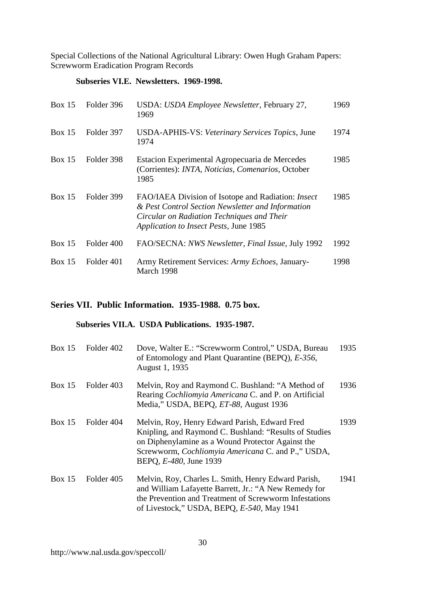#### **Subseries VI.E. Newsletters. 1969-1998.**

| Box $15$      | Folder 396 | USDA: USDA Employee Newsletter, February 27,<br>1969                                                                                                                                                   | 1969 |
|---------------|------------|--------------------------------------------------------------------------------------------------------------------------------------------------------------------------------------------------------|------|
| <b>Box 15</b> | Folder 397 | USDA-APHIS-VS: Veterinary Services Topics, June<br>1974                                                                                                                                                | 1974 |
| Box 15        | Folder 398 | Estacion Experimental Agropecuaria de Mercedes<br>(Corrientes): INTA, Noticias, Comenarios, October<br>1985                                                                                            | 1985 |
| Box 15        | Folder 399 | FAO/IAEA Division of Isotope and Radiation: <i>Insect</i><br>& Pest Control Section Newsletter and Information<br>Circular on Radiation Techniques and Their<br>Application to Insect Pests, June 1985 | 1985 |
| Box 15        | Folder 400 | FAO/SECNA: NWS Newsletter, Final Issue, July 1992                                                                                                                                                      | 1992 |
| Box 15        | Folder 401 | Army Retirement Services: Army Echoes, January-<br>March 1998                                                                                                                                          | 1998 |

#### **Series VII. Public Information. 1935-1988. 0.75 box.**

#### **Subseries VII.A. USDA Publications. 1935-1987.**

| Box 15        | Folder 402 | Dove, Walter E.: "Screwworm Control," USDA, Bureau<br>of Entomology and Plant Quarantine (BEPQ), E-356,<br>August 1, 1935                                                                                                                                    | 1935 |
|---------------|------------|--------------------------------------------------------------------------------------------------------------------------------------------------------------------------------------------------------------------------------------------------------------|------|
| Box $15$      | Folder 403 | Melvin, Roy and Raymond C. Bushland: "A Method of<br>Rearing Cochliomyia Americana C. and P. on Artificial<br>Media," USDA, BEPQ, ET-88, August 1936                                                                                                         | 1936 |
| <b>Box 15</b> | Folder 404 | Melvin, Roy, Henry Edward Parish, Edward Fred<br>Knipling, and Raymond C. Bushland: "Results of Studies"<br>on Diphenylamine as a Wound Protector Against the<br>Screwworm, <i>Cochliomyia Americana</i> C. and P.," USDA,<br>BEPQ, <i>E-480</i> , June 1939 | 1939 |
| Box 15        | Folder 405 | Melvin, Roy, Charles L. Smith, Henry Edward Parish,<br>and William Lafayette Barrett, Jr.: "A New Remedy for<br>the Prevention and Treatment of Screwworm Infestations<br>of Livestock," USDA, BEPQ, E-540, May 1941                                         | 1941 |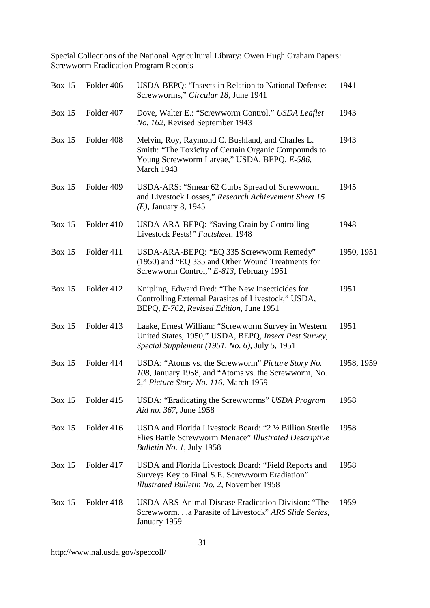| <b>Box 15</b> | Folder 406 | USDA-BEPQ: "Insects in Relation to National Defense:<br>Screwworms," Circular 18, June 1941                                                                           | 1941       |
|---------------|------------|-----------------------------------------------------------------------------------------------------------------------------------------------------------------------|------------|
| <b>Box 15</b> | Folder 407 | Dove, Walter E.: "Screwworm Control," USDA Leaflet<br>No. 162, Revised September 1943                                                                                 | 1943       |
| <b>Box 15</b> | Folder 408 | Melvin, Roy, Raymond C. Bushland, and Charles L.<br>Smith: "The Toxicity of Certain Organic Compounds to<br>Young Screwworm Larvae," USDA, BEPQ, E-586,<br>March 1943 | 1943       |
| <b>Box 15</b> | Folder 409 | USDA-ARS: "Smear 62 Curbs Spread of Screwworm<br>and Livestock Losses," Research Achievement Sheet 15<br>$(E)$ , January 8, 1945                                      | 1945       |
| <b>Box 15</b> | Folder 410 | USDA-ARA-BEPQ: "Saving Grain by Controlling<br>Livestock Pests!" Factsheet, 1948                                                                                      | 1948       |
| <b>Box 15</b> | Folder 411 | USDA-ARA-BEPQ: "EQ 335 Screwworm Remedy"<br>(1950) and "EQ 335 and Other Wound Treatments for<br>Screwworm Control," E-813, February 1951                             | 1950, 1951 |
| <b>Box 15</b> | Folder 412 | Knipling, Edward Fred: "The New Insecticides for<br>Controlling External Parasites of Livestock," USDA,<br>BEPQ, E-762, Revised Edition, June 1951                    | 1951       |
| <b>Box 15</b> | Folder 413 | Laake, Ernest William: "Screwworm Survey in Western<br>United States, 1950," USDA, BEPQ, Insect Pest Survey,<br><i>Special Supplement (1951, No. 6), July 5, 1951</i> | 1951       |
| <b>Box 15</b> | Folder 414 | USDA: "Atoms vs. the Screwworm" Picture Story No.<br>108, January 1958, and "Atoms vs. the Screwworm, No.<br>2," Picture Story No. 116, March 1959                    | 1958, 1959 |
| <b>Box 15</b> | Folder 415 | USDA: "Eradicating the Screwworms" USDA Program<br>Aid no. 367, June 1958                                                                                             | 1958       |
| <b>Box 15</b> | Folder 416 | USDA and Florida Livestock Board: "2 1/2 Billion Sterile<br>Flies Battle Screwworm Menace" Illustrated Descriptive<br><i>Bulletin No. 1, July 1958</i>                | 1958       |
| <b>Box 15</b> | Folder 417 | USDA and Florida Livestock Board: "Field Reports and<br>Surveys Key to Final S.E. Screwworm Eradiation"<br>Illustrated Bulletin No. 2, November 1958                  | 1958       |
| <b>Box 15</b> | Folder 418 | USDA-ARS-Animal Disease Eradication Division: "The<br>Screwworm.a Parasite of Livestock" ARS Slide Series,<br>January 1959                                            | 1959       |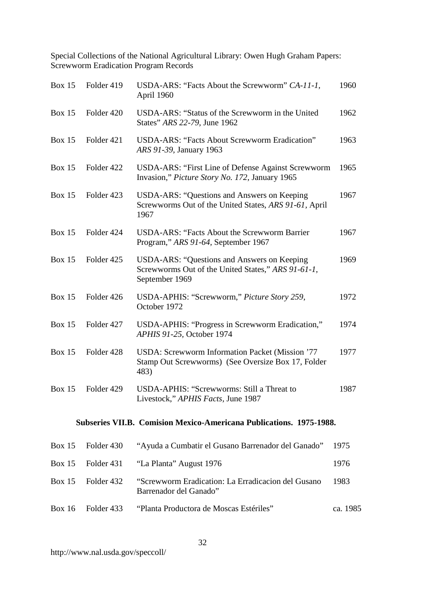| <b>Box 15</b> | Folder 419 | USDA-ARS: "Facts About the Screwworm" CA-11-1,<br>April 1960                                                        | 1960     |
|---------------|------------|---------------------------------------------------------------------------------------------------------------------|----------|
| <b>Box 15</b> | Folder 420 | USDA-ARS: "Status of the Screwworm in the United<br>States" ARS 22-79, June 1962                                    | 1962     |
| <b>Box 15</b> | Folder 421 | USDA-ARS: "Facts About Screwworm Eradication"<br>ARS 91-39, January 1963                                            | 1963     |
| <b>Box 15</b> | Folder 422 | USDA-ARS: "First Line of Defense Against Screwworm<br>Invasion," Picture Story No. 172, January 1965                | 1965     |
| <b>Box 15</b> | Folder 423 | USDA-ARS: "Questions and Answers on Keeping<br>Screwworms Out of the United States, ARS 91-61, April<br>1967        | 1967     |
| <b>Box 15</b> | Folder 424 | <b>USDA-ARS: "Facts About the Screwworm Barrier</b><br>Program," ARS 91-64, September 1967                          | 1967     |
| <b>Box 15</b> | Folder 425 | USDA-ARS: "Questions and Answers on Keeping<br>Screwworms Out of the United States," ARS 91-61-1,<br>September 1969 | 1969     |
| <b>Box 15</b> | Folder 426 | USDA-APHIS: "Screwworm," Picture Story 259,<br>October 1972                                                         | 1972     |
| <b>Box 15</b> | Folder 427 | USDA-APHIS: "Progress in Screwworm Eradication,"<br>APHIS 91-25, October 1974                                       | 1974     |
| <b>Box 15</b> | Folder 428 | USDA: Screwworm Information Packet (Mission '77<br>Stamp Out Screwworms) (See Oversize Box 17, Folder<br>483)       | 1977     |
| Box $15$      | Folder 429 | USDA-APHIS: "Screwworms: Still a Threat to<br>Livestock," APHIS Facts, June 1987                                    | 1987     |
|               |            | Subseries VII.B. Comision Mexico-Americana Publications. 1975-1988.                                                 |          |
| <b>Box 15</b> | Folder 430 | "Ayuda a Cumbatir el Gusano Barrenador del Ganado"                                                                  | 1975     |
| <b>Box 15</b> | Folder 431 | "La Planta" August 1976                                                                                             | 1976     |
| <b>Box 15</b> | Folder 432 | "Screwworm Eradication: La Erradicacion del Gusano<br>Barrenador del Ganado"                                        | 1983     |
| <b>Box 16</b> | Folder 433 | "Planta Productora de Moscas Estériles"                                                                             | ca. 1985 |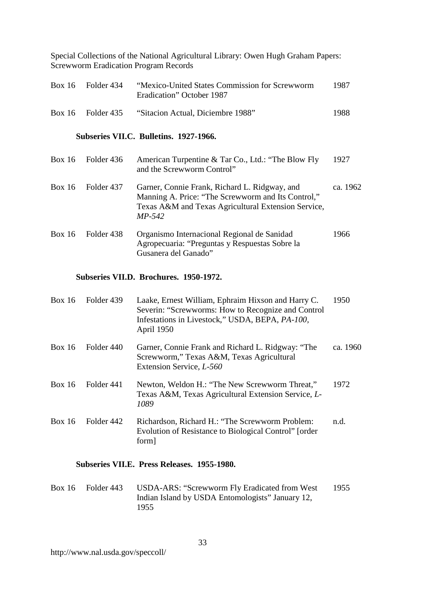| Box 16 | - Folder 434        | "Mexico-United States Commission for Screwworm"<br>Eradication" October 1987 | 1987 |
|--------|---------------------|------------------------------------------------------------------------------|------|
|        | $Box 16$ Folder 435 | "Sitacion Actual, Diciembre 1988"                                            | 1988 |

#### **Subseries VII.C. Bulletins. 1927-1966.**

| Box $16$      | Folder 436 | American Turpentine & Tar Co., Ltd.: "The Blow Fly<br>and the Screwworm Control"                                                                                       | 1927     |
|---------------|------------|------------------------------------------------------------------------------------------------------------------------------------------------------------------------|----------|
| Box 16        | Folder 437 | Garner, Connie Frank, Richard L. Ridgway, and<br>Manning A. Price: "The Screwworm and Its Control,"<br>Texas A&M and Texas Agricultural Extension Service,<br>$MP-542$ | ca. 1962 |
| <b>Box 16</b> | Folder 438 | Organismo Internacional Regional de Sanidad<br>Agropecuaria: "Preguntas y Respuestas Sobre la<br>Gusanera del Ganado"                                                  | 1966     |

#### **Subseries VII.D. Brochures. 1950-1972.**

| Box 16        | Folder 439 | Laake, Ernest William, Ephraim Hixson and Harry C.<br>Severin: "Screwworms: How to Recognize and Control<br>Infestations in Livestock," USDA, BEPA, PA-100,<br>April 1950 | 1950     |
|---------------|------------|---------------------------------------------------------------------------------------------------------------------------------------------------------------------------|----------|
| Box 16        | Folder 440 | Garner, Connie Frank and Richard L. Ridgway: "The<br>Screwworm," Texas A&M, Texas Agricultural<br>Extension Service, L-560                                                | ca. 1960 |
| <b>Box 16</b> | Folder 441 | Newton, Weldon H.: "The New Screwworm Threat,"<br>Texas A&M, Texas Agricultural Extension Service, L-<br>1089                                                             | 1972     |
| Box 16        | Folder 442 | Richardson, Richard H.: "The Screwworm Problem:<br>Evolution of Resistance to Biological Control" [order<br>form]                                                         | n.d.     |

#### **Subseries VII.E. Press Releases. 1955-1980.**

Box 16 Folder 443 USDA-ARS: "Screwworm Fly Eradicated from West Indian Island by USDA Entomologists" January 12, 1955 1955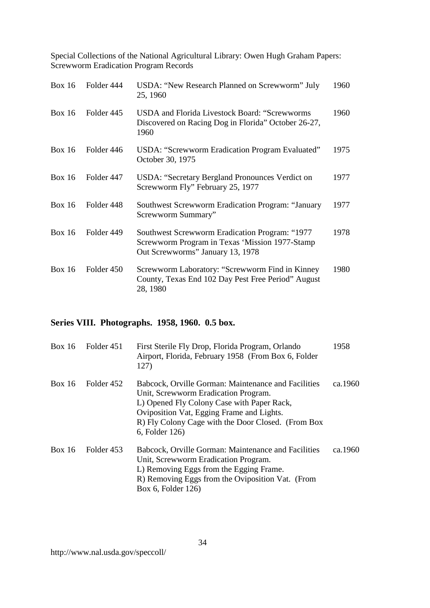| Box $16$      | Folder 444 | USDA: "New Research Planned on Screwworm" July<br>25, 1960                                                                           | 1960 |
|---------------|------------|--------------------------------------------------------------------------------------------------------------------------------------|------|
| Box 16        | Folder 445 | <b>USDA</b> and Florida Livestock Board: "Screwworms<br>Discovered on Racing Dog in Florida" October 26-27,<br>1960                  | 1960 |
| <b>Box 16</b> | Folder 446 | USDA: "Screwworm Eradication Program Evaluated"<br>October 30, 1975                                                                  | 1975 |
| Box 16        | Folder 447 | USDA: "Secretary Bergland Pronounces Verdict on<br>Screwworm Fly" February 25, 1977                                                  | 1977 |
| Box 16        | Folder 448 | <b>Southwest Screwworm Eradication Program: "January</b><br>Screwworm Summary"                                                       | 1977 |
| Box $16$      | Folder 449 | Southwest Screwworm Eradication Program: "1977<br>Screwworm Program in Texas 'Mission 1977-Stamp<br>Out Screwworms" January 13, 1978 | 1978 |
| Box 16        | Folder 450 | Screwworm Laboratory: "Screwworm Find in Kinney<br>County, Texas End 102 Day Pest Free Period" August<br>28, 1980                    | 1980 |

# **Series VIII. Photographs. 1958, 1960. 0.5 box.**

| <b>Box 16</b> | Folder 451 | First Sterile Fly Drop, Florida Program, Orlando<br>Airport, Florida, February 1958 (From Box 6, Folder<br>127)                                                                                                                                                | 1958    |
|---------------|------------|----------------------------------------------------------------------------------------------------------------------------------------------------------------------------------------------------------------------------------------------------------------|---------|
| Box 16        | Folder 452 | Babcock, Orville Gorman: Maintenance and Facilities<br>Unit, Screwworm Eradication Program.<br>L) Opened Fly Colony Case with Paper Rack,<br>Oviposition Vat, Egging Frame and Lights.<br>R) Fly Colony Cage with the Door Closed. (From Box<br>6, Folder 126) | ca.1960 |
| <b>Box 16</b> | Folder 453 | Babcock, Orville Gorman: Maintenance and Facilities<br>Unit, Screwworm Eradication Program.<br>L) Removing Eggs from the Egging Frame.<br>R) Removing Eggs from the Oviposition Vat. (From<br>Box 6, Folder 126)                                               | ca.1960 |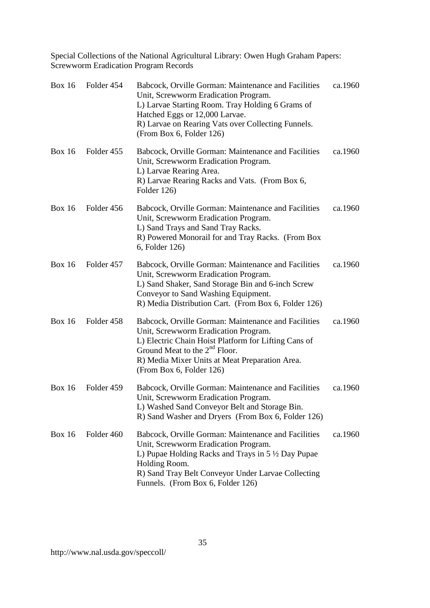| <b>Box 16</b> | Folder 454 | Babcock, Orville Gorman: Maintenance and Facilities<br>Unit, Screwworm Eradication Program.<br>L) Larvae Starting Room. Tray Holding 6 Grams of<br>Hatched Eggs or 12,000 Larvae.<br>R) Larvae on Rearing Vats over Collecting Funnels.<br>(From Box 6, Folder 126)     | ca.1960 |
|---------------|------------|-------------------------------------------------------------------------------------------------------------------------------------------------------------------------------------------------------------------------------------------------------------------------|---------|
| <b>Box 16</b> | Folder 455 | Babcock, Orville Gorman: Maintenance and Facilities<br>Unit, Screwworm Eradication Program.<br>L) Larvae Rearing Area.<br>R) Larvae Rearing Racks and Vats. (From Box 6,<br>Folder 126)                                                                                 | ca.1960 |
| <b>Box 16</b> | Folder 456 | Babcock, Orville Gorman: Maintenance and Facilities<br>Unit, Screwworm Eradication Program.<br>L) Sand Trays and Sand Tray Racks.<br>R) Powered Monorail for and Tray Racks. (From Box<br>6, Folder 126)                                                                | ca.1960 |
| <b>Box 16</b> | Folder 457 | Babcock, Orville Gorman: Maintenance and Facilities<br>Unit, Screwworm Eradication Program.<br>L) Sand Shaker, Sand Storage Bin and 6-inch Screw<br>Conveyor to Sand Washing Equipment.<br>R) Media Distribution Cart. (From Box 6, Folder 126)                         | ca.1960 |
| <b>Box 16</b> | Folder 458 | Babcock, Orville Gorman: Maintenance and Facilities<br>Unit, Screwworm Eradication Program.<br>L) Electric Chain Hoist Platform for Lifting Cans of<br>Ground Meat to the $2nd$ Floor.<br>R) Media Mixer Units at Meat Preparation Area.<br>(From Box 6, Folder 126)    | ca.1960 |
| <b>Box 16</b> | Folder 459 | Babcock, Orville Gorman: Maintenance and Facilities<br>Unit, Screwworm Eradication Program.<br>L) Washed Sand Conveyor Belt and Storage Bin.<br>R) Sand Washer and Dryers (From Box 6, Folder 126)                                                                      | ca.1960 |
| <b>Box 16</b> | Folder 460 | Babcock, Orville Gorman: Maintenance and Facilities<br>Unit, Screwworm Eradication Program.<br>L) Pupae Holding Racks and Trays in $5\frac{1}{2}$ Day Pupae<br>Holding Room.<br>R) Sand Tray Belt Conveyor Under Larvae Collecting<br>Funnels. (From Box 6, Folder 126) | ca.1960 |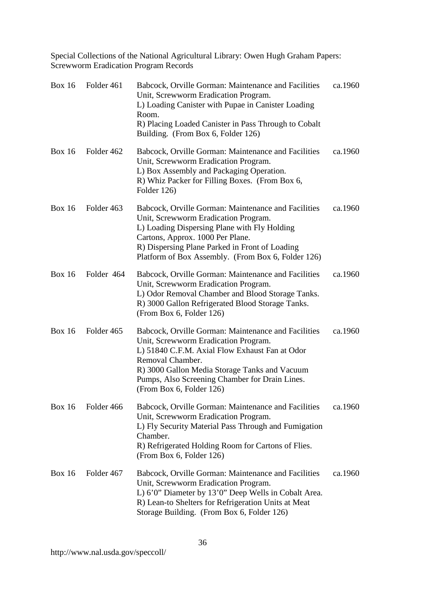| <b>Box 16</b> | Folder 461 | Babcock, Orville Gorman: Maintenance and Facilities<br>Unit, Screwworm Eradication Program.<br>L) Loading Canister with Pupae in Canister Loading<br>Room.<br>R) Placing Loaded Canister in Pass Through to Cobalt<br>Building. (From Box 6, Folder 126)                                         | ca.1960 |
|---------------|------------|--------------------------------------------------------------------------------------------------------------------------------------------------------------------------------------------------------------------------------------------------------------------------------------------------|---------|
| <b>Box 16</b> | Folder 462 | Babcock, Orville Gorman: Maintenance and Facilities<br>Unit, Screwworm Eradication Program.<br>L) Box Assembly and Packaging Operation.<br>R) Whiz Packer for Filling Boxes. (From Box 6,<br>Folder 126)                                                                                         | ca.1960 |
| <b>Box 16</b> | Folder 463 | Babcock, Orville Gorman: Maintenance and Facilities<br>Unit, Screwworm Eradication Program.<br>L) Loading Dispersing Plane with Fly Holding<br>Cartons, Approx. 1000 Per Plane.<br>R) Dispersing Plane Parked in Front of Loading<br>Platform of Box Assembly. (From Box 6, Folder 126)          | ca.1960 |
| <b>Box 16</b> | Folder 464 | Babcock, Orville Gorman: Maintenance and Facilities<br>Unit, Screwworm Eradication Program.<br>L) Odor Removal Chamber and Blood Storage Tanks.<br>R) 3000 Gallon Refrigerated Blood Storage Tanks.<br>(From Box 6, Folder 126)                                                                  | ca.1960 |
| <b>Box 16</b> | Folder 465 | Babcock, Orville Gorman: Maintenance and Facilities<br>Unit, Screwworm Eradication Program.<br>L) 51840 C.F.M. Axial Flow Exhaust Fan at Odor<br>Removal Chamber.<br>R) 3000 Gallon Media Storage Tanks and Vacuum<br>Pumps, Also Screening Chamber for Drain Lines.<br>(From Box 6, Folder 126) | ca.1960 |
| <b>Box 16</b> | Folder 466 | Babcock, Orville Gorman: Maintenance and Facilities<br>Unit, Screwworm Eradication Program.<br>L) Fly Security Material Pass Through and Fumigation<br>Chamber.<br>R) Refrigerated Holding Room for Cartons of Flies.<br>(From Box 6, Folder 126)                                                | ca.1960 |
| <b>Box 16</b> | Folder 467 | Babcock, Orville Gorman: Maintenance and Facilities<br>Unit, Screwworm Eradication Program.<br>L) 6'0" Diameter by 13'0" Deep Wells in Cobalt Area.<br>R) Lean-to Shelters for Refrigeration Units at Meat<br>Storage Building. (From Box 6, Folder 126)                                         | ca.1960 |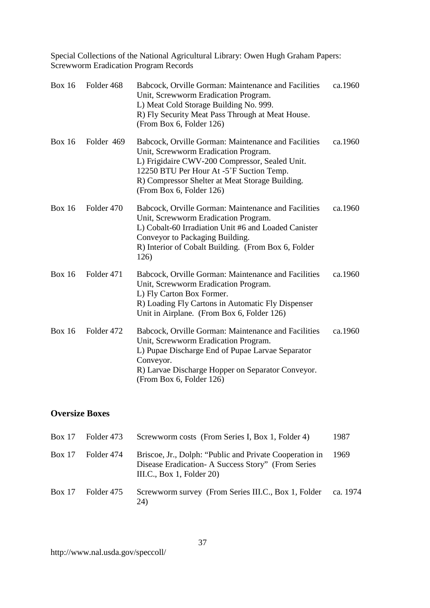| <b>Box 16</b> | Folder 468 | Babcock, Orville Gorman: Maintenance and Facilities<br>Unit, Screwworm Eradication Program.<br>L) Meat Cold Storage Building No. 999.<br>R) Fly Security Meat Pass Through at Meat House.<br>(From Box 6, Folder 126)                                                    | ca.1960 |
|---------------|------------|--------------------------------------------------------------------------------------------------------------------------------------------------------------------------------------------------------------------------------------------------------------------------|---------|
| <b>Box 16</b> | Folder 469 | Babcock, Orville Gorman: Maintenance and Facilities<br>Unit, Screwworm Eradication Program.<br>L) Frigidaire CWV-200 Compressor, Sealed Unit.<br>12250 BTU Per Hour At -5°F Suction Temp.<br>R) Compressor Shelter at Meat Storage Building.<br>(From Box 6, Folder 126) | ca.1960 |
| Box $16$      | Folder 470 | Babcock, Orville Gorman: Maintenance and Facilities<br>Unit, Screwworm Eradication Program.<br>L) Cobalt-60 Irradiation Unit #6 and Loaded Canister<br>Conveyor to Packaging Building.<br>R) Interior of Cobalt Building. (From Box 6, Folder<br>126)                    | ca.1960 |
| <b>Box 16</b> | Folder 471 | Babcock, Orville Gorman: Maintenance and Facilities<br>Unit, Screwworm Eradication Program.<br>L) Fly Carton Box Former.<br>R) Loading Fly Cartons in Automatic Fly Dispenser<br>Unit in Airplane. (From Box 6, Folder 126)                                              | ca.1960 |
| <b>Box 16</b> | Folder 472 | Babcock, Orville Gorman: Maintenance and Facilities<br>Unit, Screwworm Eradication Program.<br>L) Pupae Discharge End of Pupae Larvae Separator<br>Conveyor.<br>R) Larvae Discharge Hopper on Separator Conveyor.<br>(From Box 6, Folder 126)                            | ca.1960 |

## **Oversize Boxes**

| Box $17$ | Folder 473 | Screwworm costs (From Series I, Box 1, Folder 4)                                                                                               | 1987     |
|----------|------------|------------------------------------------------------------------------------------------------------------------------------------------------|----------|
| Box 17   | Folder 474 | Briscoe, Jr., Dolph: "Public and Private Cooperation in<br>Disease Eradication - A Success Story" (From Series<br>III.C., Box 1, Folder $20$ ) | 1969     |
| Box 17   | Folder 475 | Screwworm survey (From Series III.C., Box 1, Folder<br>24)                                                                                     | ca. 1974 |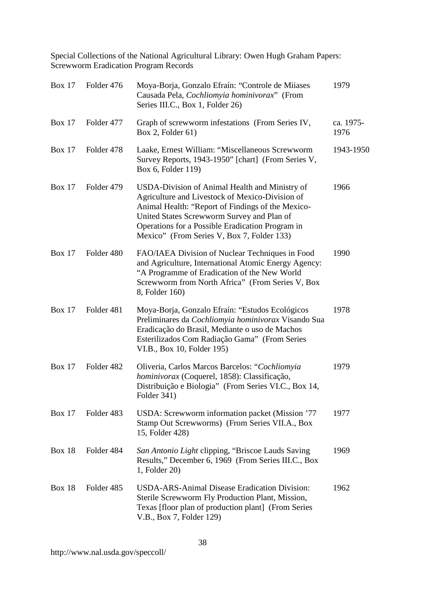| <b>Box 17</b> | Folder 476 | Moya-Borja, Gonzalo Efraín: "Controle de Miiases<br>Causada Pela, Cochliomyia hominivorax" (From<br>Series III.C., Box 1, Folder 26)                                                                                                                                                                   | 1979              |
|---------------|------------|--------------------------------------------------------------------------------------------------------------------------------------------------------------------------------------------------------------------------------------------------------------------------------------------------------|-------------------|
| Box $17$      | Folder 477 | Graph of screwworm infestations (From Series IV,<br>Box 2, Folder $61$ )                                                                                                                                                                                                                               | ca. 1975-<br>1976 |
| <b>Box 17</b> | Folder 478 | Laake, Ernest William: "Miscellaneous Screwworm<br>Survey Reports, 1943-1950" [chart] (From Series V,<br>Box 6, Folder 119)                                                                                                                                                                            | 1943-1950         |
| <b>Box 17</b> | Folder 479 | USDA-Division of Animal Health and Ministry of<br>Agriculture and Livestock of Mexico-Division of<br>Animal Health: "Report of Findings of the Mexico-<br>United States Screwworm Survey and Plan of<br>Operations for a Possible Eradication Program in<br>Mexico" (From Series V, Box 7, Folder 133) | 1966              |
| <b>Box 17</b> | Folder 480 | FAO/IAEA Division of Nuclear Techniques in Food<br>and Agriculture, International Atomic Energy Agency:<br>"A Programme of Eradication of the New World<br>Screwworm from North Africa" (From Series V, Box<br>8, Folder 160)                                                                          | 1990              |
| <b>Box 17</b> | Folder 481 | Moya-Borja, Gonzalo Efraín: "Estudos Ecológicos<br>Preliminares da Cochliomyia hominivorax Visando Sua<br>Eradicação do Brasil, Mediante o uso de Machos<br>Esterilizados Com Radiação Gama" (From Series<br>VI.B., Box 10, Folder 195)                                                                | 1978              |
| <b>Box 17</b> | Folder 482 | Oliveria, Carlos Marcos Barcelos: "Cochliomyia<br>hominivorax (Coquerel, 1858): Classificação,<br>Distribuição e Biologia" (From Series VI.C., Box 14,<br>Folder 341)                                                                                                                                  | 1979              |
| <b>Box 17</b> | Folder 483 | USDA: Screwworm information packet (Mission '77<br>Stamp Out Screwworms) (From Series VII.A., Box<br>15, Folder 428)                                                                                                                                                                                   | 1977              |
| <b>Box 18</b> | Folder 484 | San Antonio Light clipping, "Briscoe Lauds Saving<br>Results," December 6, 1969 (From Series III.C., Box<br>1, Folder 20)                                                                                                                                                                              | 1969              |
| <b>Box 18</b> | Folder 485 | <b>USDA-ARS-Animal Disease Eradication Division:</b><br>Sterile Screwworm Fly Production Plant, Mission,<br>Texas [floor plan of production plant] (From Series<br>V.B., Box 7, Folder 129)                                                                                                            | 1962              |